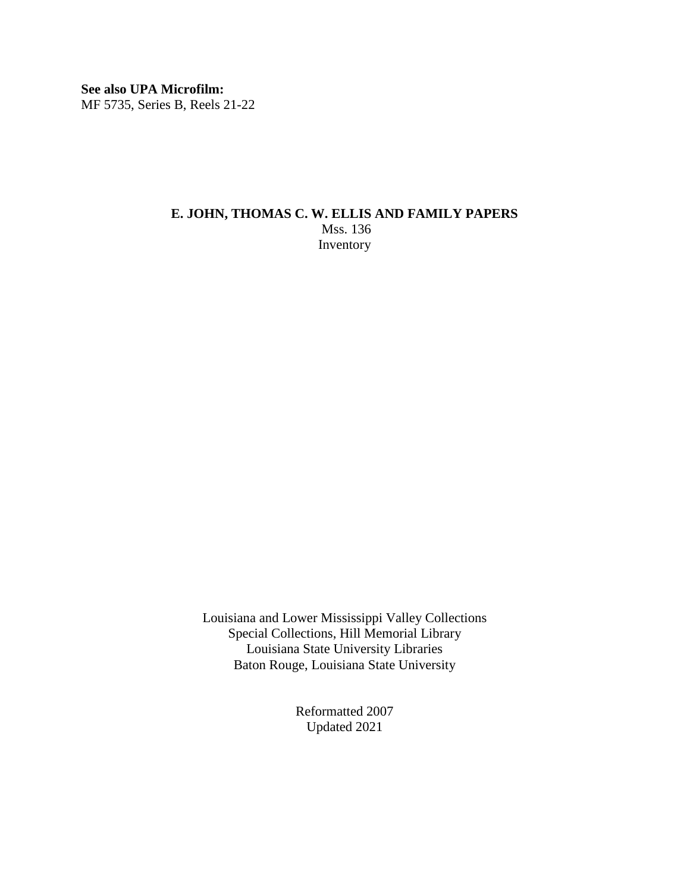**See also UPA Microfilm:** MF 5735, Series B, Reels 21-22

## **E. JOHN, THOMAS C. W. ELLIS AND FAMILY PAPERS** Mss. 136 Inventory

Louisiana and Lower Mississippi Valley Collections Special Collections, Hill Memorial Library Louisiana State University Libraries Baton Rouge, Louisiana State University

> Reformatted 2007 Updated 2021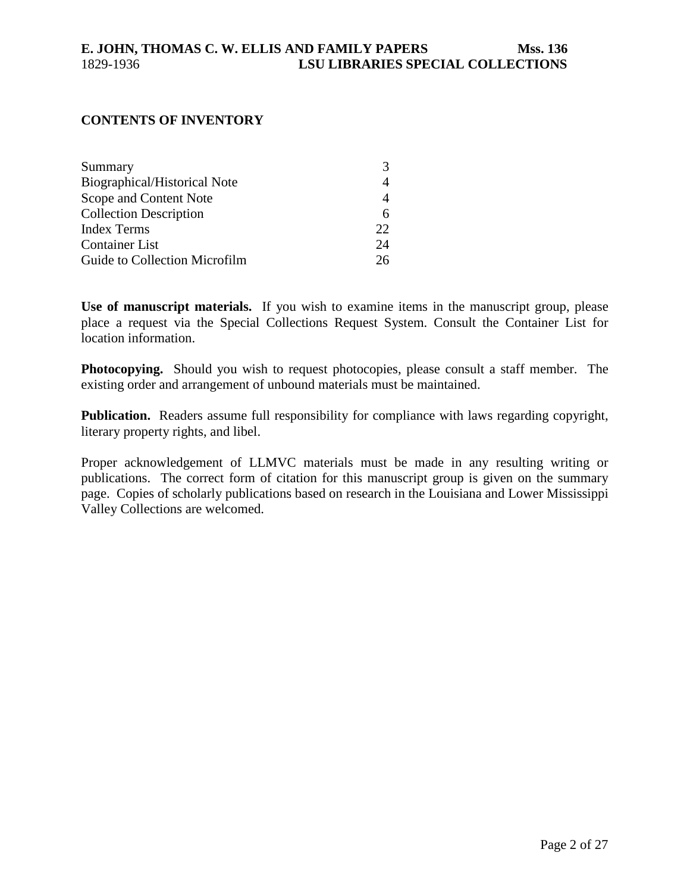#### **CONTENTS OF INVENTORY**

| Summary                       |    |
|-------------------------------|----|
| Biographical/Historical Note  |    |
| Scope and Content Note        |    |
| <b>Collection Description</b> | h  |
| <b>Index Terms</b>            | 22 |
| <b>Container List</b>         | 24 |
| Guide to Collection Microfilm | 26 |

**Use of manuscript materials.** If you wish to examine items in the manuscript group, please place a request via the Special Collections Request System. Consult the Container List for location information.

**Photocopying.** Should you wish to request photocopies, please consult a staff member. The existing order and arrangement of unbound materials must be maintained.

**Publication.** Readers assume full responsibility for compliance with laws regarding copyright, literary property rights, and libel.

Proper acknowledgement of LLMVC materials must be made in any resulting writing or publications. The correct form of citation for this manuscript group is given on the summary page. Copies of scholarly publications based on research in the Louisiana and Lower Mississippi Valley Collections are welcomed.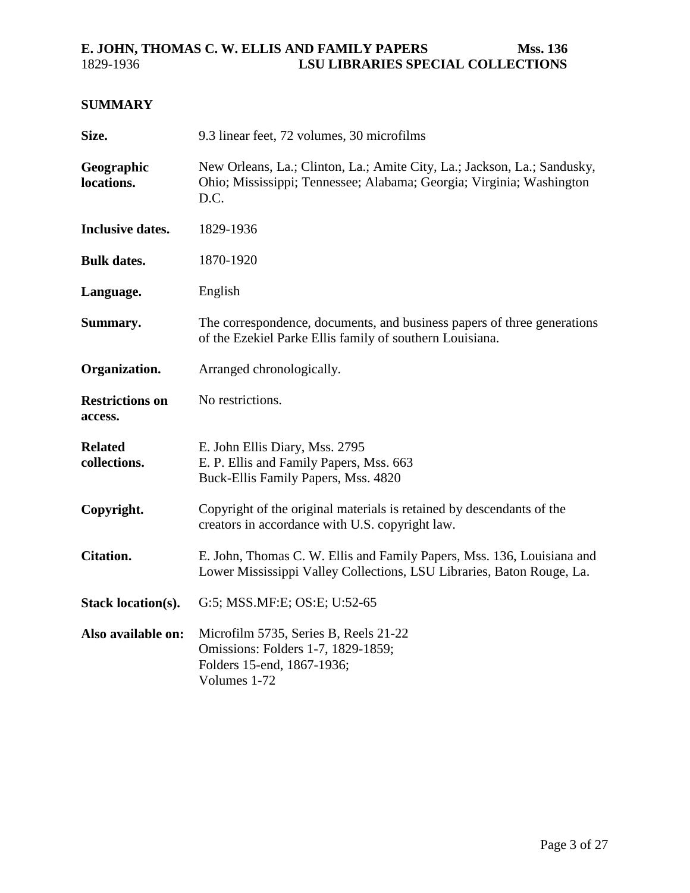## <span id="page-2-0"></span>**SUMMARY**

| Size.                             | 9.3 linear feet, 72 volumes, 30 microfilms                                                                                                               |  |  |  |  |  |
|-----------------------------------|----------------------------------------------------------------------------------------------------------------------------------------------------------|--|--|--|--|--|
| Geographic<br>locations.          | New Orleans, La.; Clinton, La.; Amite City, La.; Jackson, La.; Sandusky,<br>Ohio; Mississippi; Tennessee; Alabama; Georgia; Virginia; Washington<br>D.C. |  |  |  |  |  |
| <b>Inclusive dates.</b>           | 1829-1936                                                                                                                                                |  |  |  |  |  |
| <b>Bulk dates.</b>                | 1870-1920                                                                                                                                                |  |  |  |  |  |
| Language.                         | English                                                                                                                                                  |  |  |  |  |  |
| Summary.                          | The correspondence, documents, and business papers of three generations<br>of the Ezekiel Parke Ellis family of southern Louisiana.                      |  |  |  |  |  |
| Organization.                     | Arranged chronologically.                                                                                                                                |  |  |  |  |  |
| <b>Restrictions on</b><br>access. | No restrictions.                                                                                                                                         |  |  |  |  |  |
| <b>Related</b><br>collections.    | E. John Ellis Diary, Mss. 2795<br>E. P. Ellis and Family Papers, Mss. 663<br>Buck-Ellis Family Papers, Mss. 4820                                         |  |  |  |  |  |
| Copyright.                        | Copyright of the original materials is retained by descendants of the<br>creators in accordance with U.S. copyright law.                                 |  |  |  |  |  |
| <b>Citation.</b>                  | E. John, Thomas C. W. Ellis and Family Papers, Mss. 136, Louisiana and<br>Lower Mississippi Valley Collections, LSU Libraries, Baton Rouge, La.          |  |  |  |  |  |
| <b>Stack location(s).</b>         | G:5; MSS.MF:E; OS:E; U:52-65                                                                                                                             |  |  |  |  |  |
| Also available on:                | Microfilm 5735, Series B, Reels 21-22<br>Omissions: Folders 1-7, 1829-1859;<br>Folders 15-end, 1867-1936;<br>Volumes 1-72                                |  |  |  |  |  |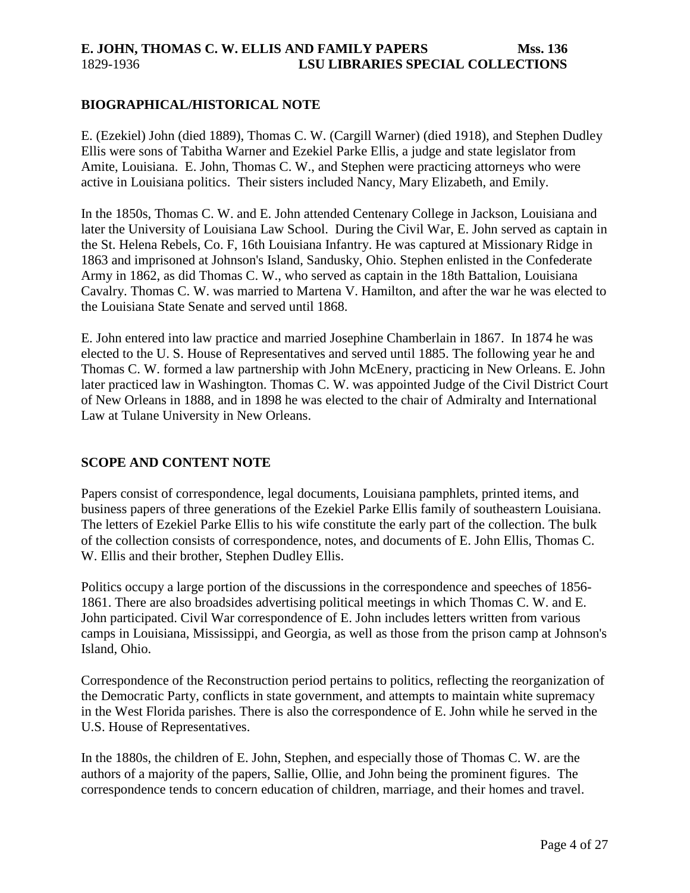#### <span id="page-3-0"></span>**BIOGRAPHICAL/HISTORICAL NOTE**

E. (Ezekiel) John (died 1889), Thomas C. W. (Cargill Warner) (died 1918), and Stephen Dudley Ellis were sons of Tabitha Warner and Ezekiel Parke Ellis, a judge and state legislator from Amite, Louisiana. E. John, Thomas C. W., and Stephen were practicing attorneys who were active in Louisiana politics. Their sisters included Nancy, Mary Elizabeth, and Emily.

In the 1850s, Thomas C. W. and E. John attended Centenary College in Jackson, Louisiana and later the University of Louisiana Law School. During the Civil War, E. John served as captain in the St. Helena Rebels, Co. F, 16th Louisiana Infantry. He was captured at Missionary Ridge in 1863 and imprisoned at Johnson's Island, Sandusky, Ohio. Stephen enlisted in the Confederate Army in 1862, as did Thomas C. W., who served as captain in the 18th Battalion, Louisiana Cavalry. Thomas C. W. was married to Martena V. Hamilton, and after the war he was elected to the Louisiana State Senate and served until 1868.

E. John entered into law practice and married Josephine Chamberlain in 1867. In 1874 he was elected to the U. S. House of Representatives and served until 1885. The following year he and Thomas C. W. formed a law partnership with John McEnery, practicing in New Orleans. E. John later practiced law in Washington. Thomas C. W. was appointed Judge of the Civil District Court of New Orleans in 1888, and in 1898 he was elected to the chair of Admiralty and International Law at Tulane University in New Orleans.

#### **SCOPE AND CONTENT NOTE**

Papers consist of correspondence, legal documents, Louisiana pamphlets, printed items, and business papers of three generations of the Ezekiel Parke Ellis family of southeastern Louisiana. The letters of Ezekiel Parke Ellis to his wife constitute the early part of the collection. The bulk of the collection consists of correspondence, notes, and documents of E. John Ellis, Thomas C. W. Ellis and their brother, Stephen Dudley Ellis.

Politics occupy a large portion of the discussions in the correspondence and speeches of 1856- 1861. There are also broadsides advertising political meetings in which Thomas C. W. and E. John participated. Civil War correspondence of E. John includes letters written from various camps in Louisiana, Mississippi, and Georgia, as well as those from the prison camp at Johnson's Island, Ohio.

Correspondence of the Reconstruction period pertains to politics, reflecting the reorganization of the Democratic Party, conflicts in state government, and attempts to maintain white supremacy in the West Florida parishes. There is also the correspondence of E. John while he served in the U.S. House of Representatives.

In the 1880s, the children of E. John, Stephen, and especially those of Thomas C. W. are the authors of a majority of the papers, Sallie, Ollie, and John being the prominent figures. The correspondence tends to concern education of children, marriage, and their homes and travel.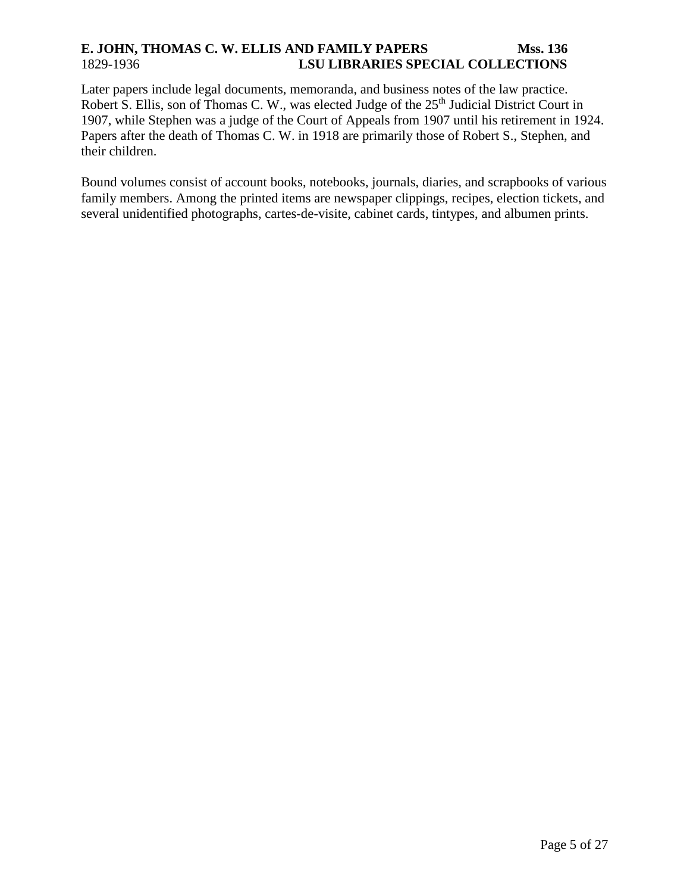Later papers include legal documents, memoranda, and business notes of the law practice. Robert S. Ellis, son of Thomas C. W., was elected Judge of the 25<sup>th</sup> Judicial District Court in 1907, while Stephen was a judge of the Court of Appeals from 1907 until his retirement in 1924. Papers after the death of Thomas C. W. in 1918 are primarily those of Robert S., Stephen, and their children.

Bound volumes consist of account books, notebooks, journals, diaries, and scrapbooks of various family members. Among the printed items are newspaper clippings, recipes, election tickets, and several unidentified photographs, cartes-de-visite, cabinet cards, tintypes, and albumen prints.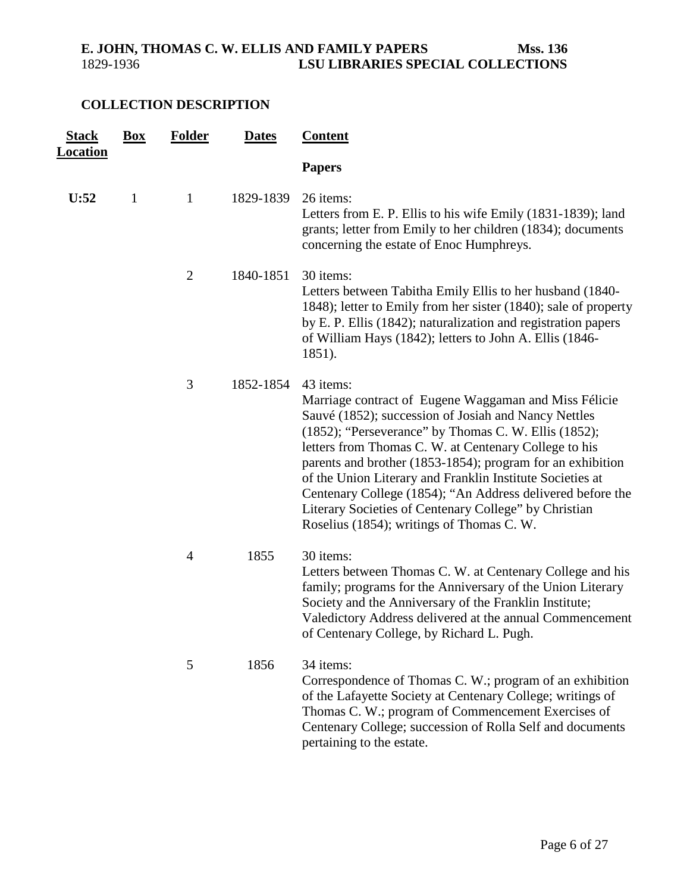## <span id="page-5-0"></span>**COLLECTION DESCRIPTION**

| <b>Stack</b><br><b>Location</b> | <b>Box</b>   | <b>Folder</b>  | <b>Dates</b> | <b>Content</b>                                                                                                                                                                                                                                                                                                                                                                                                                                                                                                                             |
|---------------------------------|--------------|----------------|--------------|--------------------------------------------------------------------------------------------------------------------------------------------------------------------------------------------------------------------------------------------------------------------------------------------------------------------------------------------------------------------------------------------------------------------------------------------------------------------------------------------------------------------------------------------|
|                                 |              |                |              | <b>Papers</b>                                                                                                                                                                                                                                                                                                                                                                                                                                                                                                                              |
| U:52                            | $\mathbf{1}$ | $\mathbf{1}$   | 1829-1839    | 26 items:<br>Letters from E. P. Ellis to his wife Emily (1831-1839); land<br>grants; letter from Emily to her children (1834); documents<br>concerning the estate of Enoc Humphreys.                                                                                                                                                                                                                                                                                                                                                       |
|                                 |              | $\overline{2}$ | 1840-1851    | 30 items:<br>Letters between Tabitha Emily Ellis to her husband (1840-<br>1848); letter to Emily from her sister (1840); sale of property<br>by E. P. Ellis (1842); naturalization and registration papers<br>of William Hays (1842); letters to John A. Ellis (1846-<br>1851).                                                                                                                                                                                                                                                            |
|                                 |              | 3              | 1852-1854    | 43 items:<br>Marriage contract of Eugene Waggaman and Miss Félicie<br>Sauvé (1852); succession of Josiah and Nancy Nettles<br>(1852); "Perseverance" by Thomas C. W. Ellis (1852);<br>letters from Thomas C. W. at Centenary College to his<br>parents and brother (1853-1854); program for an exhibition<br>of the Union Literary and Franklin Institute Societies at<br>Centenary College (1854); "An Address delivered before the<br>Literary Societies of Centenary College" by Christian<br>Roselius (1854); writings of Thomas C. W. |
|                                 |              | $\overline{4}$ | 1855         | 30 items:<br>Letters between Thomas C. W. at Centenary College and his<br>family; programs for the Anniversary of the Union Literary<br>Society and the Anniversary of the Franklin Institute;<br>Valedictory Address delivered at the annual Commencement<br>of Centenary College, by Richard L. Pugh.                                                                                                                                                                                                                                    |
|                                 |              | 5              | 1856         | 34 items:<br>Correspondence of Thomas C. W.; program of an exhibition<br>of the Lafayette Society at Centenary College; writings of<br>Thomas C. W.; program of Commencement Exercises of<br>Centenary College; succession of Rolla Self and documents<br>pertaining to the estate.                                                                                                                                                                                                                                                        |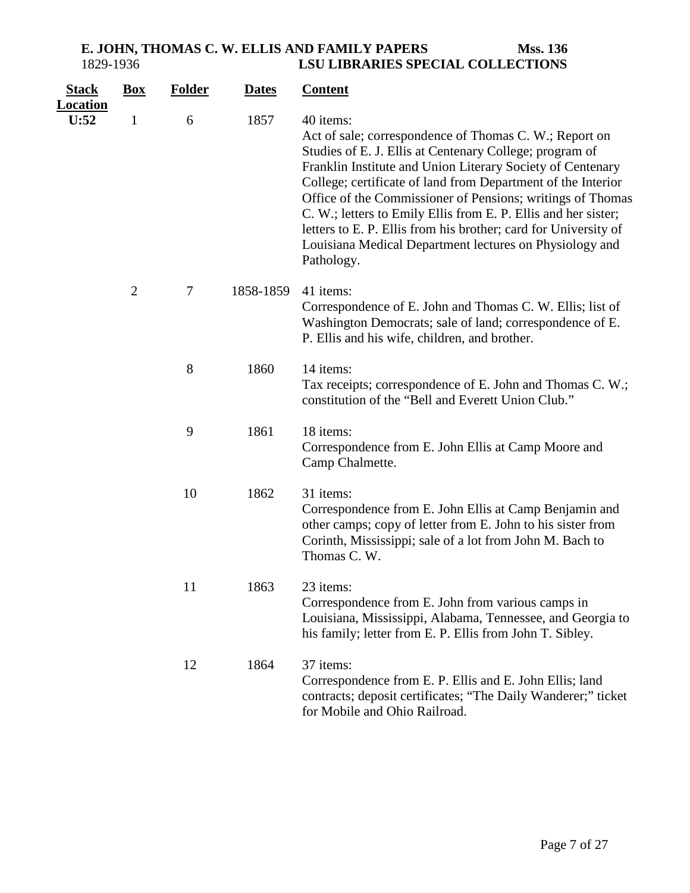| <u>Stack</u><br><u>Location</u> | $Box$          | <b>Folder</b> | <b>Dates</b> | <b>Content</b>                                                                                                                                                                                                                                                                                                                                                                                                                                                                                                                           |
|---------------------------------|----------------|---------------|--------------|------------------------------------------------------------------------------------------------------------------------------------------------------------------------------------------------------------------------------------------------------------------------------------------------------------------------------------------------------------------------------------------------------------------------------------------------------------------------------------------------------------------------------------------|
| U:52                            | $\mathbf{1}$   | 6             | 1857         | 40 items:<br>Act of sale; correspondence of Thomas C. W.; Report on<br>Studies of E. J. Ellis at Centenary College; program of<br>Franklin Institute and Union Literary Society of Centenary<br>College; certificate of land from Department of the Interior<br>Office of the Commissioner of Pensions; writings of Thomas<br>C. W.; letters to Emily Ellis from E. P. Ellis and her sister;<br>letters to E. P. Ellis from his brother; card for University of<br>Louisiana Medical Department lectures on Physiology and<br>Pathology. |
|                                 | $\overline{2}$ | $\tau$        | 1858-1859    | 41 items:<br>Correspondence of E. John and Thomas C. W. Ellis; list of<br>Washington Democrats; sale of land; correspondence of E.<br>P. Ellis and his wife, children, and brother.                                                                                                                                                                                                                                                                                                                                                      |
|                                 |                | 8             | 1860         | 14 items:<br>Tax receipts; correspondence of E. John and Thomas C. W.;<br>constitution of the "Bell and Everett Union Club."                                                                                                                                                                                                                                                                                                                                                                                                             |
|                                 |                | 9             | 1861         | 18 items:<br>Correspondence from E. John Ellis at Camp Moore and<br>Camp Chalmette.                                                                                                                                                                                                                                                                                                                                                                                                                                                      |
|                                 |                | 10            | 1862         | 31 items:<br>Correspondence from E. John Ellis at Camp Benjamin and<br>other camps; copy of letter from E. John to his sister from<br>Corinth, Mississippi; sale of a lot from John M. Bach to<br>Thomas C.W.                                                                                                                                                                                                                                                                                                                            |
|                                 |                | 11            | 1863         | 23 items:<br>Correspondence from E. John from various camps in<br>Louisiana, Mississippi, Alabama, Tennessee, and Georgia to<br>his family; letter from E. P. Ellis from John T. Sibley.                                                                                                                                                                                                                                                                                                                                                 |
|                                 |                | 12            | 1864         | 37 items:<br>Correspondence from E. P. Ellis and E. John Ellis; land<br>contracts; deposit certificates; "The Daily Wanderer;" ticket<br>for Mobile and Ohio Railroad.                                                                                                                                                                                                                                                                                                                                                                   |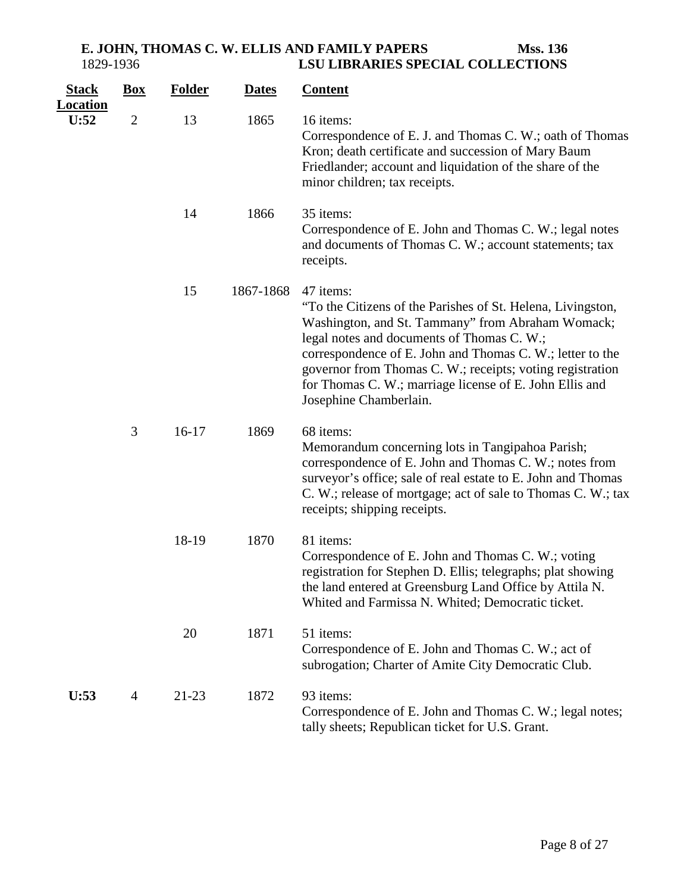| <b>Stack</b>            | $\mathbf{Box}$ | <b>Folder</b> | <b>Dates</b> | <b>Content</b>                                                                                                                                                                                                                                                                                                                                                                             |
|-------------------------|----------------|---------------|--------------|--------------------------------------------------------------------------------------------------------------------------------------------------------------------------------------------------------------------------------------------------------------------------------------------------------------------------------------------------------------------------------------------|
| <b>Location</b><br>U:52 | $\mathfrak{2}$ | 13            | 1865         | 16 items:<br>Correspondence of E. J. and Thomas C. W.; oath of Thomas<br>Kron; death certificate and succession of Mary Baum<br>Friedlander; account and liquidation of the share of the<br>minor children; tax receipts.                                                                                                                                                                  |
|                         |                | 14            | 1866         | 35 items:<br>Correspondence of E. John and Thomas C. W.; legal notes<br>and documents of Thomas C. W.; account statements; tax<br>receipts.                                                                                                                                                                                                                                                |
|                         |                | 15            | 1867-1868    | 47 items:<br>"To the Citizens of the Parishes of St. Helena, Livingston,<br>Washington, and St. Tammany" from Abraham Womack;<br>legal notes and documents of Thomas C. W.;<br>correspondence of E. John and Thomas C. W.; letter to the<br>governor from Thomas C. W.; receipts; voting registration<br>for Thomas C. W.; marriage license of E. John Ellis and<br>Josephine Chamberlain. |
|                         | 3              | $16-17$       | 1869         | 68 items:<br>Memorandum concerning lots in Tangipahoa Parish;<br>correspondence of E. John and Thomas C. W.; notes from<br>surveyor's office; sale of real estate to E. John and Thomas<br>C. W.; release of mortgage; act of sale to Thomas C. W.; tax<br>receipts; shipping receipts.                                                                                                    |
|                         |                | 18-19         | 1870         | 81 items:<br>Correspondence of E. John and Thomas C. W.; voting<br>registration for Stephen D. Ellis; telegraphs; plat showing<br>the land entered at Greensburg Land Office by Attila N.<br>Whited and Farmissa N. Whited; Democratic ticket.                                                                                                                                             |
|                         |                | 20            | 1871         | 51 items:<br>Correspondence of E. John and Thomas C. W.; act of<br>subrogation; Charter of Amite City Democratic Club.                                                                                                                                                                                                                                                                     |
| U:53                    | 4              | 21-23         | 1872         | 93 items:<br>Correspondence of E. John and Thomas C. W.; legal notes;<br>tally sheets; Republican ticket for U.S. Grant.                                                                                                                                                                                                                                                                   |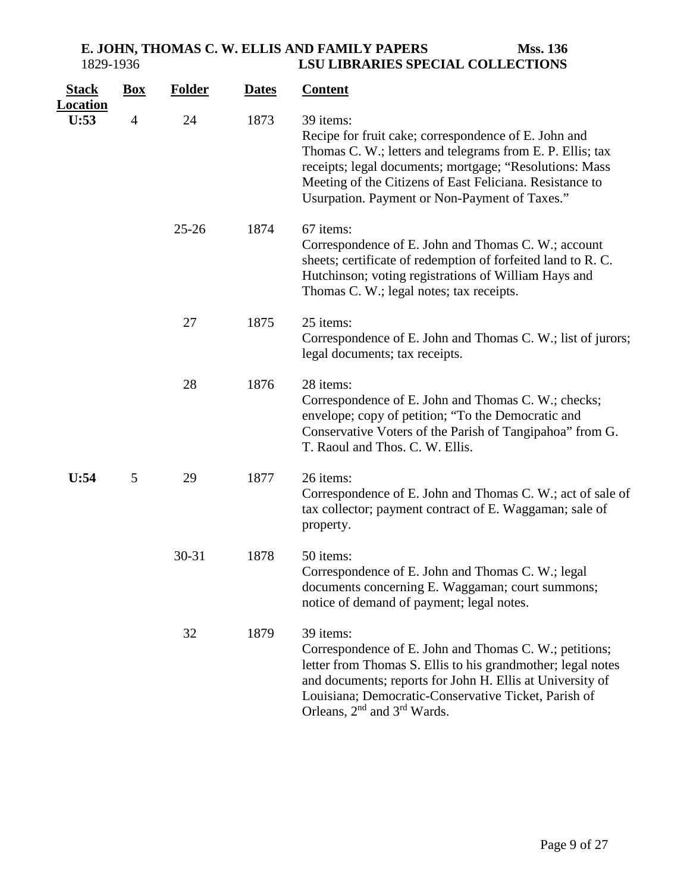| <b>Stack</b><br><b>Location</b> | <u>Box</u>     | <b>Folder</b> | <b>Dates</b> | <b>Content</b>                                                                                                                                                                                                                                                                                                 |
|---------------------------------|----------------|---------------|--------------|----------------------------------------------------------------------------------------------------------------------------------------------------------------------------------------------------------------------------------------------------------------------------------------------------------------|
| U:53                            | $\overline{4}$ | 24            | 1873         | 39 items:<br>Recipe for fruit cake; correspondence of E. John and<br>Thomas C. W.; letters and telegrams from E. P. Ellis; tax<br>receipts; legal documents; mortgage; "Resolutions: Mass<br>Meeting of the Citizens of East Feliciana. Resistance to<br>Usurpation. Payment or Non-Payment of Taxes."         |
|                                 |                | $25 - 26$     | 1874         | 67 items:<br>Correspondence of E. John and Thomas C. W.; account<br>sheets; certificate of redemption of forfeited land to R.C.<br>Hutchinson; voting registrations of William Hays and<br>Thomas C. W.; legal notes; tax receipts.                                                                            |
|                                 |                | 27            | 1875         | 25 items:<br>Correspondence of E. John and Thomas C. W.; list of jurors;<br>legal documents; tax receipts.                                                                                                                                                                                                     |
|                                 |                | 28            | 1876         | 28 items:<br>Correspondence of E. John and Thomas C. W.; checks;<br>envelope; copy of petition; "To the Democratic and<br>Conservative Voters of the Parish of Tangipahoa" from G.<br>T. Raoul and Thos. C. W. Ellis.                                                                                          |
| U:54                            | 5              | 29            | 1877         | 26 items:<br>Correspondence of E. John and Thomas C. W.; act of sale of<br>tax collector; payment contract of E. Waggaman; sale of<br>property.                                                                                                                                                                |
|                                 |                | $30 - 31$     | 1878         | 50 items:<br>Correspondence of E. John and Thomas C. W.; legal<br>documents concerning E. Waggaman; court summons;<br>notice of demand of payment; legal notes.                                                                                                                                                |
|                                 |                | 32            | 1879         | 39 items:<br>Correspondence of E. John and Thomas C. W.; petitions;<br>letter from Thomas S. Ellis to his grandmother; legal notes<br>and documents; reports for John H. Ellis at University of<br>Louisiana; Democratic-Conservative Ticket, Parish of<br>Orleans, 2 <sup>nd</sup> and 3 <sup>rd</sup> Wards. |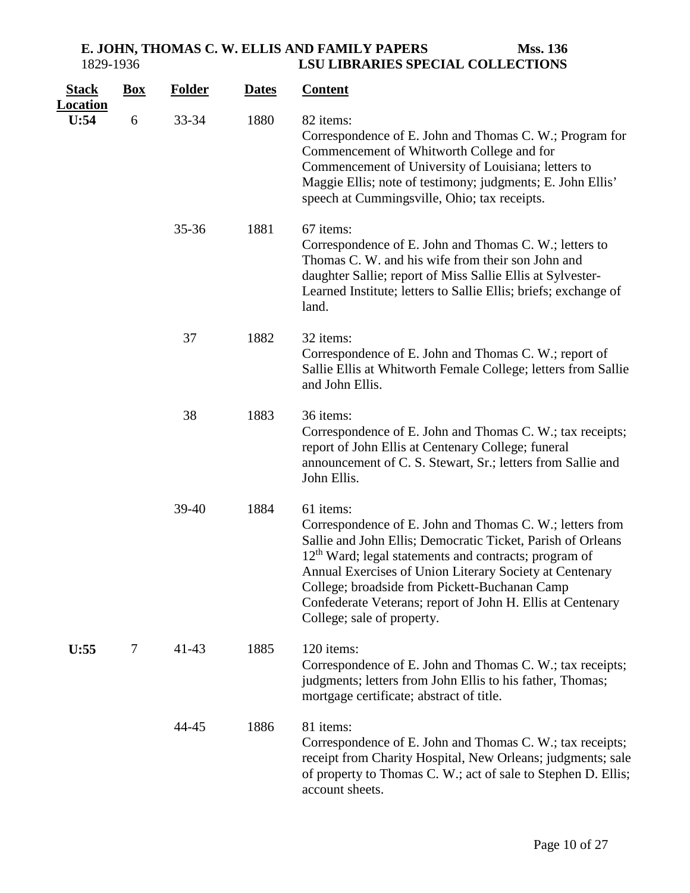| <b>Stack</b>            | $\mathbf{Box}$ | <b>Folder</b> | <b>Dates</b> | <b>Content</b>                                                                                                                                                                                                                                                                                                                                                                                                    |
|-------------------------|----------------|---------------|--------------|-------------------------------------------------------------------------------------------------------------------------------------------------------------------------------------------------------------------------------------------------------------------------------------------------------------------------------------------------------------------------------------------------------------------|
| <b>Location</b><br>U:54 | 6              | 33-34         | 1880         | 82 items:<br>Correspondence of E. John and Thomas C. W.; Program for<br>Commencement of Whitworth College and for<br>Commencement of University of Louisiana; letters to<br>Maggie Ellis; note of testimony; judgments; E. John Ellis'<br>speech at Cummingsville, Ohio; tax receipts.                                                                                                                            |
|                         |                | 35-36         | 1881         | 67 items:<br>Correspondence of E. John and Thomas C. W.; letters to<br>Thomas C. W. and his wife from their son John and<br>daughter Sallie; report of Miss Sallie Ellis at Sylvester-<br>Learned Institute; letters to Sallie Ellis; briefs; exchange of<br>land.                                                                                                                                                |
|                         |                | 37            | 1882         | 32 items:<br>Correspondence of E. John and Thomas C. W.; report of<br>Sallie Ellis at Whitworth Female College; letters from Sallie<br>and John Ellis.                                                                                                                                                                                                                                                            |
|                         |                | 38            | 1883         | 36 items:<br>Correspondence of E. John and Thomas C. W.; tax receipts;<br>report of John Ellis at Centenary College; funeral<br>announcement of C. S. Stewart, Sr.; letters from Sallie and<br>John Ellis.                                                                                                                                                                                                        |
|                         |                | $39-40$       | 1884         | 61 items:<br>Correspondence of E. John and Thomas C. W.; letters from<br>Sallie and John Ellis; Democratic Ticket, Parish of Orleans<br>12 <sup>th</sup> Ward; legal statements and contracts; program of<br>Annual Exercises of Union Literary Society at Centenary<br>College; broadside from Pickett-Buchanan Camp<br>Confederate Veterans; report of John H. Ellis at Centenary<br>College; sale of property. |
| U:55                    | 7              | $41 - 43$     | 1885         | 120 items:<br>Correspondence of E. John and Thomas C. W.; tax receipts;<br>judgments; letters from John Ellis to his father, Thomas;<br>mortgage certificate; abstract of title.                                                                                                                                                                                                                                  |
|                         |                | 44-45         | 1886         | 81 items:<br>Correspondence of E. John and Thomas C. W.; tax receipts;<br>receipt from Charity Hospital, New Orleans; judgments; sale<br>of property to Thomas C. W.; act of sale to Stephen D. Ellis;<br>account sheets.                                                                                                                                                                                         |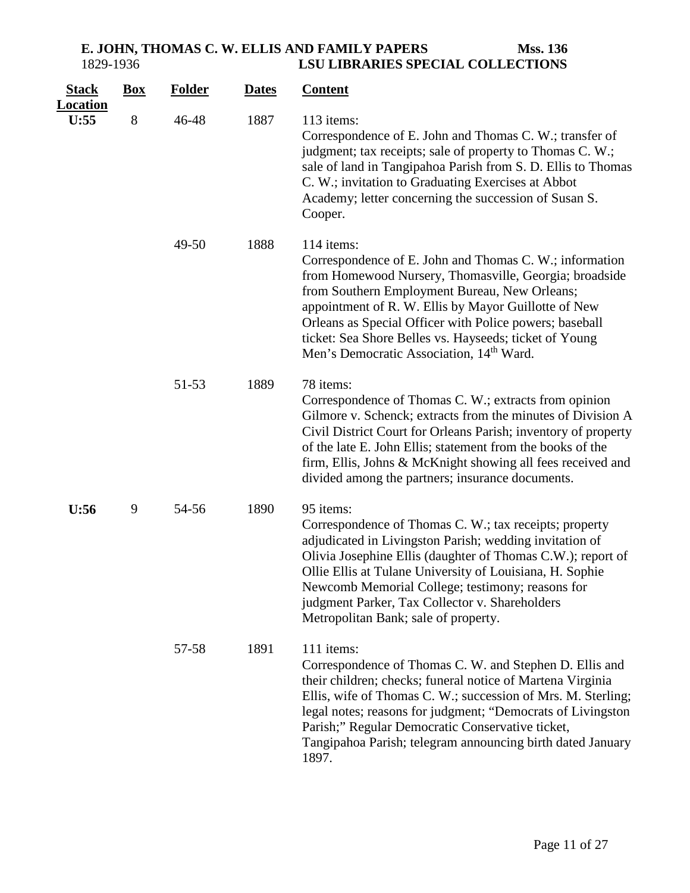| <b>Stack</b><br><b>Location</b> | <b>Box</b> | <b>Folder</b> | <b>Dates</b> | <b>Content</b>                                                                                                                                                                                                                                                                                                                                                                                                        |
|---------------------------------|------------|---------------|--------------|-----------------------------------------------------------------------------------------------------------------------------------------------------------------------------------------------------------------------------------------------------------------------------------------------------------------------------------------------------------------------------------------------------------------------|
| U:55                            | 8          | 46-48         | 1887         | 113 items:<br>Correspondence of E. John and Thomas C. W.; transfer of<br>judgment; tax receipts; sale of property to Thomas C. W.;<br>sale of land in Tangipahoa Parish from S. D. Ellis to Thomas<br>C. W.; invitation to Graduating Exercises at Abbot<br>Academy; letter concerning the succession of Susan S.<br>Cooper.                                                                                          |
|                                 |            | 49-50         | 1888         | 114 items:<br>Correspondence of E. John and Thomas C. W.; information<br>from Homewood Nursery, Thomasville, Georgia; broadside<br>from Southern Employment Bureau, New Orleans;<br>appointment of R. W. Ellis by Mayor Guillotte of New<br>Orleans as Special Officer with Police powers; baseball<br>ticket: Sea Shore Belles vs. Hayseeds; ticket of Young<br>Men's Democratic Association, 14 <sup>th</sup> Ward. |
|                                 |            | 51-53         | 1889         | 78 items:<br>Correspondence of Thomas C. W.; extracts from opinion<br>Gilmore v. Schenck; extracts from the minutes of Division A<br>Civil District Court for Orleans Parish; inventory of property<br>of the late E. John Ellis; statement from the books of the<br>firm, Ellis, Johns & McKnight showing all fees received and<br>divided among the partners; insurance documents.                                  |
| U:56                            | 9          | 54-56         | 1890         | 95 items:<br>Correspondence of Thomas C. W.; tax receipts; property<br>adjudicated in Livingston Parish; wedding invitation of<br>Olivia Josephine Ellis (daughter of Thomas C.W.); report of<br>Ollie Ellis at Tulane University of Louisiana, H. Sophie<br>Newcomb Memorial College; testimony; reasons for<br>judgment Parker, Tax Collector v. Shareholders<br>Metropolitan Bank; sale of property.               |
|                                 |            | 57-58         | 1891         | 111 items:<br>Correspondence of Thomas C. W. and Stephen D. Ellis and<br>their children; checks; funeral notice of Martena Virginia<br>Ellis, wife of Thomas C. W.; succession of Mrs. M. Sterling;<br>legal notes; reasons for judgment; "Democrats of Livingston<br>Parish;" Regular Democratic Conservative ticket,<br>Tangipahoa Parish; telegram announcing birth dated January<br>1897.                         |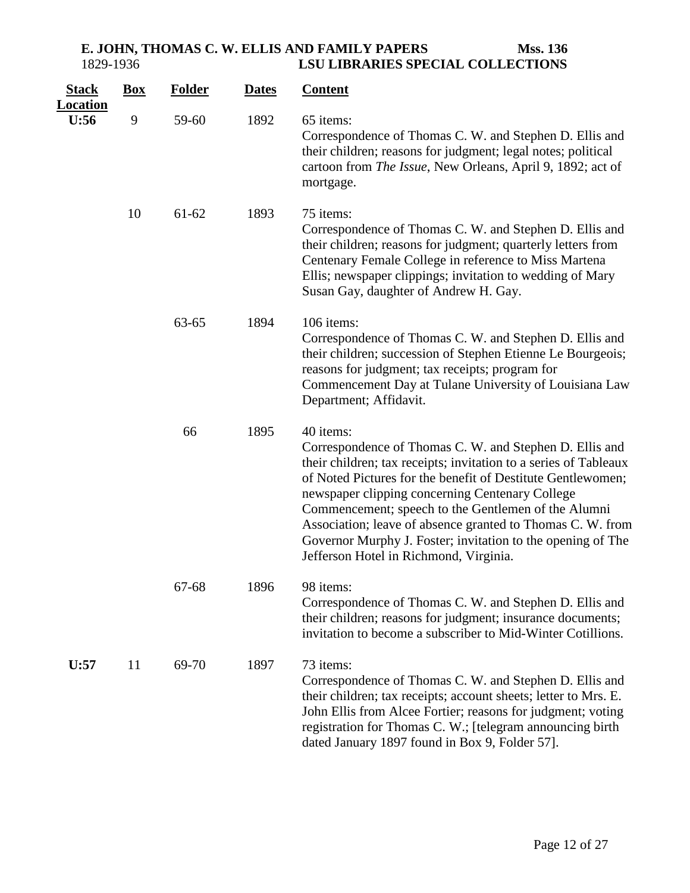| <b>Stack</b><br><b>Location</b> | $\underline{Box}$ | <b>Folder</b> | <b>Dates</b> | <b>Content</b>                                                                                                                                                                                                                                                                                                                                                                                                                                                                           |
|---------------------------------|-------------------|---------------|--------------|------------------------------------------------------------------------------------------------------------------------------------------------------------------------------------------------------------------------------------------------------------------------------------------------------------------------------------------------------------------------------------------------------------------------------------------------------------------------------------------|
| U:56                            | 9                 | 59-60         | 1892         | 65 items:<br>Correspondence of Thomas C. W. and Stephen D. Ellis and<br>their children; reasons for judgment; legal notes; political<br>cartoon from The Issue, New Orleans, April 9, 1892; act of<br>mortgage.                                                                                                                                                                                                                                                                          |
|                                 | 10                | $61 - 62$     | 1893         | 75 items:<br>Correspondence of Thomas C. W. and Stephen D. Ellis and<br>their children; reasons for judgment; quarterly letters from<br>Centenary Female College in reference to Miss Martena<br>Ellis; newspaper clippings; invitation to wedding of Mary<br>Susan Gay, daughter of Andrew H. Gay.                                                                                                                                                                                      |
|                                 |                   | 63-65         | 1894         | 106 items:<br>Correspondence of Thomas C. W. and Stephen D. Ellis and<br>their children; succession of Stephen Etienne Le Bourgeois;<br>reasons for judgment; tax receipts; program for<br>Commencement Day at Tulane University of Louisiana Law<br>Department; Affidavit.                                                                                                                                                                                                              |
|                                 |                   | 66            | 1895         | 40 items:<br>Correspondence of Thomas C. W. and Stephen D. Ellis and<br>their children; tax receipts; invitation to a series of Tableaux<br>of Noted Pictures for the benefit of Destitute Gentlewomen;<br>newspaper clipping concerning Centenary College<br>Commencement; speech to the Gentlemen of the Alumni<br>Association; leave of absence granted to Thomas C. W. from<br>Governor Murphy J. Foster; invitation to the opening of The<br>Jefferson Hotel in Richmond, Virginia. |
|                                 |                   | 67-68         | 1896         | 98 items:<br>Correspondence of Thomas C. W. and Stephen D. Ellis and<br>their children; reasons for judgment; insurance documents;<br>invitation to become a subscriber to Mid-Winter Cotillions.                                                                                                                                                                                                                                                                                        |
| U:57                            | 11                | 69-70         | 1897         | 73 items:<br>Correspondence of Thomas C. W. and Stephen D. Ellis and<br>their children; tax receipts; account sheets; letter to Mrs. E.<br>John Ellis from Alcee Fortier; reasons for judgment; voting<br>registration for Thomas C. W.; [telegram announcing birth<br>dated January 1897 found in Box 9, Folder 57].                                                                                                                                                                    |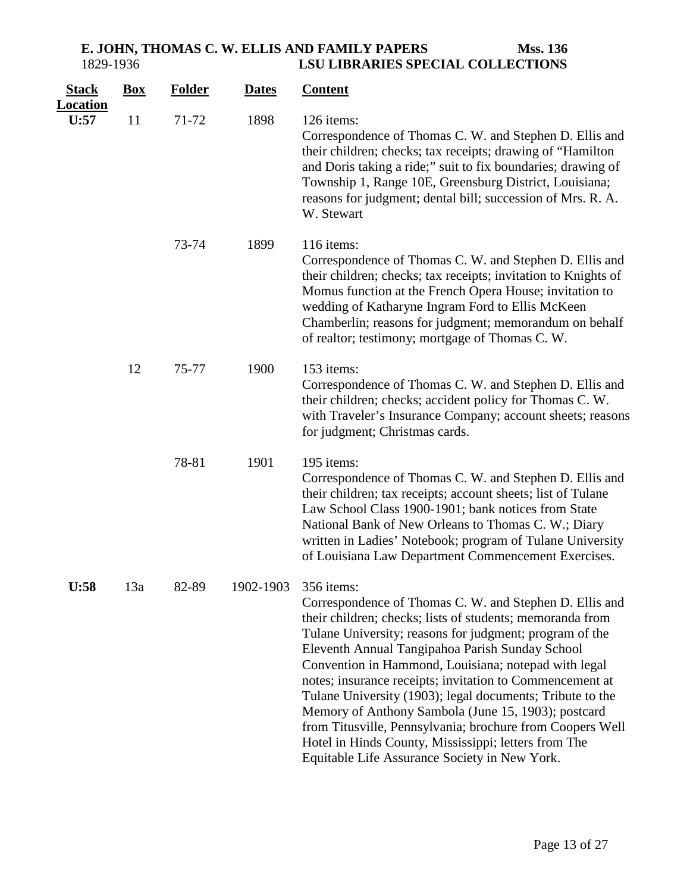| <b>Stack</b>            | <b>Box</b> | <b>Folder</b> | <b>Dates</b> | <b>Content</b>                                                                                                                                                                                                                                                                                                                                                                                                                                                                                                                                                                                                                                                 |
|-------------------------|------------|---------------|--------------|----------------------------------------------------------------------------------------------------------------------------------------------------------------------------------------------------------------------------------------------------------------------------------------------------------------------------------------------------------------------------------------------------------------------------------------------------------------------------------------------------------------------------------------------------------------------------------------------------------------------------------------------------------------|
| <b>Location</b><br>U:57 | 11         | 71-72         | 1898         | 126 items:<br>Correspondence of Thomas C. W. and Stephen D. Ellis and<br>their children; checks; tax receipts; drawing of "Hamilton"<br>and Doris taking a ride;" suit to fix boundaries; drawing of<br>Township 1, Range 10E, Greensburg District, Louisiana;<br>reasons for judgment; dental bill; succession of Mrs. R. A.<br>W. Stewart                                                                                                                                                                                                                                                                                                                    |
|                         |            | 73-74         | 1899         | 116 items:<br>Correspondence of Thomas C. W. and Stephen D. Ellis and<br>their children; checks; tax receipts; invitation to Knights of<br>Momus function at the French Opera House; invitation to<br>wedding of Katharyne Ingram Ford to Ellis McKeen<br>Chamberlin; reasons for judgment; memorandum on behalf<br>of realtor; testimony; mortgage of Thomas C. W.                                                                                                                                                                                                                                                                                            |
|                         | 12         | 75-77         | 1900         | 153 items:<br>Correspondence of Thomas C. W. and Stephen D. Ellis and<br>their children; checks; accident policy for Thomas C. W.<br>with Traveler's Insurance Company; account sheets; reasons<br>for judgment; Christmas cards.                                                                                                                                                                                                                                                                                                                                                                                                                              |
|                         |            | 78-81         | 1901         | 195 items:<br>Correspondence of Thomas C. W. and Stephen D. Ellis and<br>their children; tax receipts; account sheets; list of Tulane<br>Law School Class 1900-1901; bank notices from State<br>National Bank of New Orleans to Thomas C. W.; Diary<br>written in Ladies' Notebook; program of Tulane University<br>of Louisiana Law Department Commencement Exercises.                                                                                                                                                                                                                                                                                        |
| U:58                    | 13a        | 82-89         | 1902-1903    | 356 items:<br>Correspondence of Thomas C. W. and Stephen D. Ellis and<br>their children; checks; lists of students; memoranda from<br>Tulane University; reasons for judgment; program of the<br>Eleventh Annual Tangipahoa Parish Sunday School<br>Convention in Hammond, Louisiana; notepad with legal<br>notes; insurance receipts; invitation to Commencement at<br>Tulane University (1903); legal documents; Tribute to the<br>Memory of Anthony Sambola (June 15, 1903); postcard<br>from Titusville, Pennsylvania; brochure from Coopers Well<br>Hotel in Hinds County, Mississippi; letters from The<br>Equitable Life Assurance Society in New York. |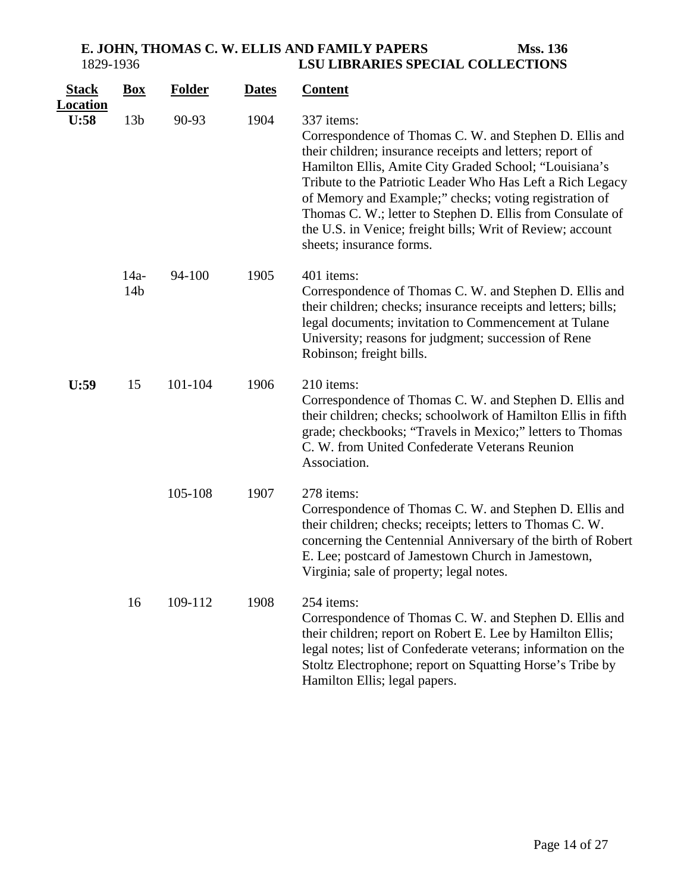| <b>Stack</b><br><b>Location</b> | <b>Box</b>                | <b>Folder</b> | <b>Dates</b> | <b>Content</b>                                                                                                                                                                                                                                                                                                                                                                                                                                                               |
|---------------------------------|---------------------------|---------------|--------------|------------------------------------------------------------------------------------------------------------------------------------------------------------------------------------------------------------------------------------------------------------------------------------------------------------------------------------------------------------------------------------------------------------------------------------------------------------------------------|
| U:58                            | 13 <sub>b</sub>           | 90-93         | 1904         | 337 items:<br>Correspondence of Thomas C. W. and Stephen D. Ellis and<br>their children; insurance receipts and letters; report of<br>Hamilton Ellis, Amite City Graded School; "Louisiana's<br>Tribute to the Patriotic Leader Who Has Left a Rich Legacy<br>of Memory and Example;" checks; voting registration of<br>Thomas C. W.; letter to Stephen D. Ellis from Consulate of<br>the U.S. in Venice; freight bills; Writ of Review; account<br>sheets; insurance forms. |
|                                 | $14a-$<br>14 <sub>b</sub> | 94-100        | 1905         | 401 items:<br>Correspondence of Thomas C. W. and Stephen D. Ellis and<br>their children; checks; insurance receipts and letters; bills;<br>legal documents; invitation to Commencement at Tulane<br>University; reasons for judgment; succession of Rene<br>Robinson; freight bills.                                                                                                                                                                                         |
| U:59                            | 15                        | 101-104       | 1906         | 210 items:<br>Correspondence of Thomas C. W. and Stephen D. Ellis and<br>their children; checks; schoolwork of Hamilton Ellis in fifth<br>grade; checkbooks; "Travels in Mexico;" letters to Thomas<br>C. W. from United Confederate Veterans Reunion<br>Association.                                                                                                                                                                                                        |
|                                 |                           | 105-108       | 1907         | 278 items:<br>Correspondence of Thomas C. W. and Stephen D. Ellis and<br>their children; checks; receipts; letters to Thomas C. W.<br>concerning the Centennial Anniversary of the birth of Robert<br>E. Lee; postcard of Jamestown Church in Jamestown,<br>Virginia; sale of property; legal notes.                                                                                                                                                                         |
|                                 | 16                        | 109-112       | 1908         | 254 items:<br>Correspondence of Thomas C. W. and Stephen D. Ellis and<br>their children; report on Robert E. Lee by Hamilton Ellis;<br>legal notes; list of Confederate veterans; information on the<br>Stoltz Electrophone; report on Squatting Horse's Tribe by<br>Hamilton Ellis; legal papers.                                                                                                                                                                           |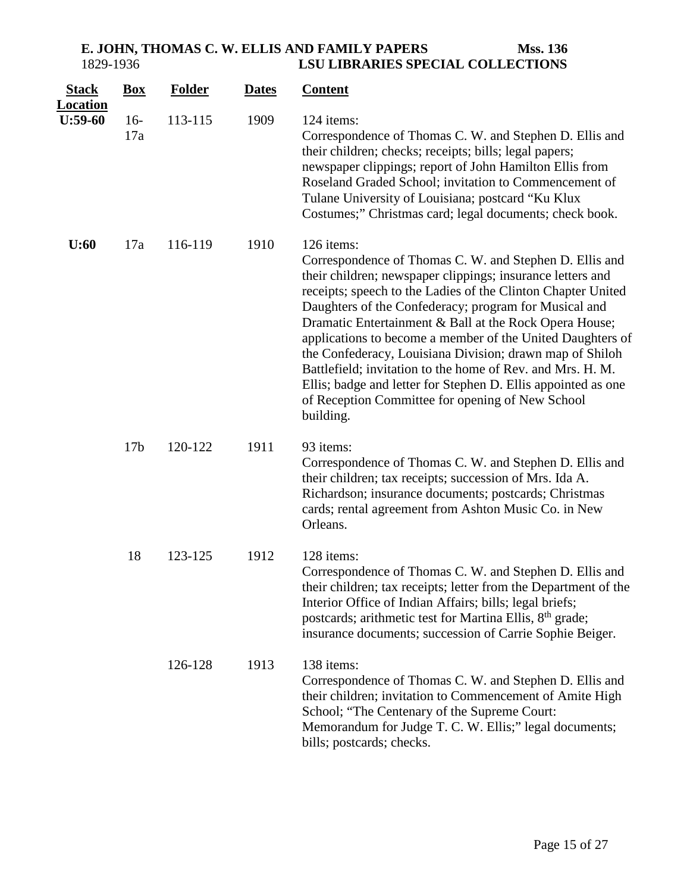| <b>Stack</b><br><b>Location</b> | <b>Box</b>      | <b>Folder</b> | <b>Dates</b> | <b>Content</b>                                                                                                                                                                                                                                                                                                                                                                                                                                                                                                                                                                                                                                   |
|---------------------------------|-----------------|---------------|--------------|--------------------------------------------------------------------------------------------------------------------------------------------------------------------------------------------------------------------------------------------------------------------------------------------------------------------------------------------------------------------------------------------------------------------------------------------------------------------------------------------------------------------------------------------------------------------------------------------------------------------------------------------------|
| $U:59-60$                       | $16-$<br>17a    | 113-115       | 1909         | 124 items:<br>Correspondence of Thomas C. W. and Stephen D. Ellis and<br>their children; checks; receipts; bills; legal papers;<br>newspaper clippings; report of John Hamilton Ellis from<br>Roseland Graded School; invitation to Commencement of<br>Tulane University of Louisiana; postcard "Ku Klux<br>Costumes;" Christmas card; legal documents; check book.                                                                                                                                                                                                                                                                              |
| U:60                            | 17a             | 116-119       | 1910         | 126 items:<br>Correspondence of Thomas C. W. and Stephen D. Ellis and<br>their children; newspaper clippings; insurance letters and<br>receipts; speech to the Ladies of the Clinton Chapter United<br>Daughters of the Confederacy; program for Musical and<br>Dramatic Entertainment & Ball at the Rock Opera House;<br>applications to become a member of the United Daughters of<br>the Confederacy, Louisiana Division; drawn map of Shiloh<br>Battlefield; invitation to the home of Rev. and Mrs. H. M.<br>Ellis; badge and letter for Stephen D. Ellis appointed as one<br>of Reception Committee for opening of New School<br>building. |
|                                 | 17 <sub>b</sub> | 120-122       | 1911         | 93 items:<br>Correspondence of Thomas C. W. and Stephen D. Ellis and<br>their children; tax receipts; succession of Mrs. Ida A.<br>Richardson; insurance documents; postcards; Christmas<br>cards; rental agreement from Ashton Music Co. in New<br>Orleans.                                                                                                                                                                                                                                                                                                                                                                                     |
|                                 | 18              | 123-125       | 1912         | 128 items:<br>Correspondence of Thomas C. W. and Stephen D. Ellis and<br>their children; tax receipts; letter from the Department of the<br>Interior Office of Indian Affairs; bills; legal briefs;<br>postcards; arithmetic test for Martina Ellis, 8 <sup>th</sup> grade;<br>insurance documents; succession of Carrie Sophie Beiger.                                                                                                                                                                                                                                                                                                          |
|                                 |                 | 126-128       | 1913         | 138 items:<br>Correspondence of Thomas C. W. and Stephen D. Ellis and<br>their children; invitation to Commencement of Amite High<br>School; "The Centenary of the Supreme Court:<br>Memorandum for Judge T. C. W. Ellis;" legal documents;<br>bills; postcards; checks.                                                                                                                                                                                                                                                                                                                                                                         |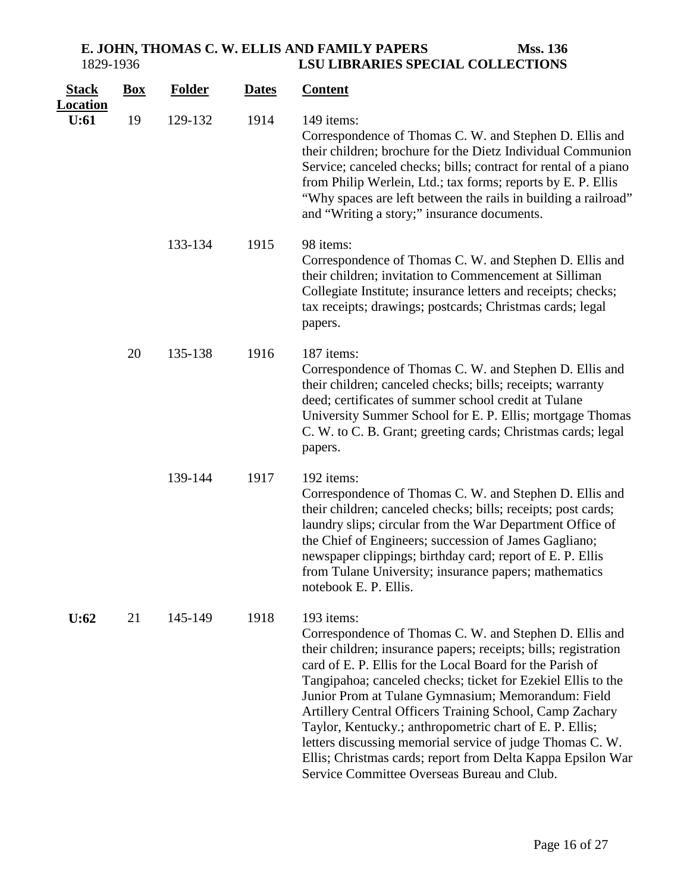**E. JOHN, THOMAS C. W. ELLIS AND FAMILY PAPERS Mss. 136<br>1829-1936 LSU LIBRARIES SPECIAL COLLECTIONS** 1829-1936 **LSU LIBRARIES SPECIAL COLLECTIONS**

| <b>Stack</b>            | $\underline{Box}$ | <b>Folder</b> | <b>Dates</b> | <b>Content</b>                                                                                                                                                                                                                                                                                                                                                                                                                                                                                                                                                                                                               |
|-------------------------|-------------------|---------------|--------------|------------------------------------------------------------------------------------------------------------------------------------------------------------------------------------------------------------------------------------------------------------------------------------------------------------------------------------------------------------------------------------------------------------------------------------------------------------------------------------------------------------------------------------------------------------------------------------------------------------------------------|
| <u>Location</u><br>U:61 | 19                | 129-132       | 1914         | 149 items:<br>Correspondence of Thomas C. W. and Stephen D. Ellis and<br>their children; brochure for the Dietz Individual Communion<br>Service; canceled checks; bills; contract for rental of a piano<br>from Philip Werlein, Ltd.; tax forms; reports by E. P. Ellis<br>"Why spaces are left between the rails in building a railroad"<br>and "Writing a story;" insurance documents.                                                                                                                                                                                                                                     |
|                         |                   | 133-134       | 1915         | 98 items:<br>Correspondence of Thomas C. W. and Stephen D. Ellis and<br>their children; invitation to Commencement at Silliman<br>Collegiate Institute; insurance letters and receipts; checks;<br>tax receipts; drawings; postcards; Christmas cards; legal<br>papers.                                                                                                                                                                                                                                                                                                                                                      |
|                         | 20                | 135-138       | 1916         | 187 items:<br>Correspondence of Thomas C. W. and Stephen D. Ellis and<br>their children; canceled checks; bills; receipts; warranty<br>deed; certificates of summer school credit at Tulane<br>University Summer School for E. P. Ellis; mortgage Thomas<br>C. W. to C. B. Grant; greeting cards; Christmas cards; legal<br>papers.                                                                                                                                                                                                                                                                                          |
|                         |                   | 139-144       | 1917         | 192 items:<br>Correspondence of Thomas C. W. and Stephen D. Ellis and<br>their children; canceled checks; bills; receipts; post cards;<br>laundry slips; circular from the War Department Office of<br>the Chief of Engineers; succession of James Gagliano;<br>newspaper clippings; birthday card; report of E. P. Ellis<br>from Tulane University; insurance papers; mathematics<br>notebook E. P. Ellis.                                                                                                                                                                                                                  |
| U:62                    | 21                | 145-149       | 1918         | 193 items:<br>Correspondence of Thomas C. W. and Stephen D. Ellis and<br>their children; insurance papers; receipts; bills; registration<br>card of E. P. Ellis for the Local Board for the Parish of<br>Tangipahoa; canceled checks; ticket for Ezekiel Ellis to the<br>Junior Prom at Tulane Gymnasium; Memorandum: Field<br>Artillery Central Officers Training School, Camp Zachary<br>Taylor, Kentucky.; anthropometric chart of E. P. Ellis;<br>letters discussing memorial service of judge Thomas C.W.<br>Ellis; Christmas cards; report from Delta Kappa Epsilon War<br>Service Committee Overseas Bureau and Club. |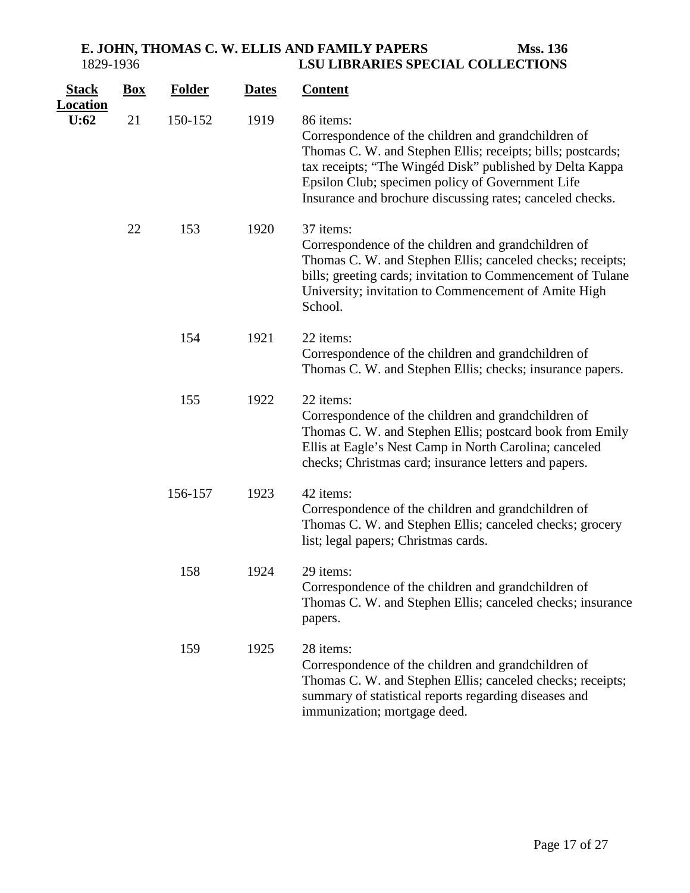| <b>Stack</b><br><b>Location</b> | $\underline{Box}$ | <b>Folder</b> | <b>Dates</b> | <b>Content</b>                                                                                                                                                                                                                                                                                               |
|---------------------------------|-------------------|---------------|--------------|--------------------------------------------------------------------------------------------------------------------------------------------------------------------------------------------------------------------------------------------------------------------------------------------------------------|
| U:62                            | 21                | 150-152       | 1919         | 86 items:<br>Correspondence of the children and grandchildren of<br>Thomas C. W. and Stephen Ellis; receipts; bills; postcards;<br>tax receipts; "The Wingéd Disk" published by Delta Kappa<br>Epsilon Club; specimen policy of Government Life<br>Insurance and brochure discussing rates; canceled checks. |
|                                 | 22                | 153           | 1920         | 37 items:<br>Correspondence of the children and grandchildren of<br>Thomas C. W. and Stephen Ellis; canceled checks; receipts;<br>bills; greeting cards; invitation to Commencement of Tulane<br>University; invitation to Commencement of Amite High<br>School.                                             |
|                                 |                   | 154           | 1921         | 22 items:<br>Correspondence of the children and grandchildren of<br>Thomas C. W. and Stephen Ellis; checks; insurance papers.                                                                                                                                                                                |
|                                 |                   | 155           | 1922         | 22 items:<br>Correspondence of the children and grandchildren of<br>Thomas C. W. and Stephen Ellis; postcard book from Emily<br>Ellis at Eagle's Nest Camp in North Carolina; canceled<br>checks; Christmas card; insurance letters and papers.                                                              |
|                                 |                   | 156-157       | 1923         | 42 items:<br>Correspondence of the children and grandchildren of<br>Thomas C. W. and Stephen Ellis; canceled checks; grocery<br>list; legal papers; Christmas cards.                                                                                                                                         |
|                                 |                   | 158           | 1924         | 29 items:<br>Correspondence of the children and grandchildren of<br>Thomas C. W. and Stephen Ellis; canceled checks; insurance<br>papers.                                                                                                                                                                    |
|                                 |                   | 159           | 1925         | 28 items:<br>Correspondence of the children and grandchildren of<br>Thomas C. W. and Stephen Ellis; canceled checks; receipts;<br>summary of statistical reports regarding diseases and<br>immunization; mortgage deed.                                                                                      |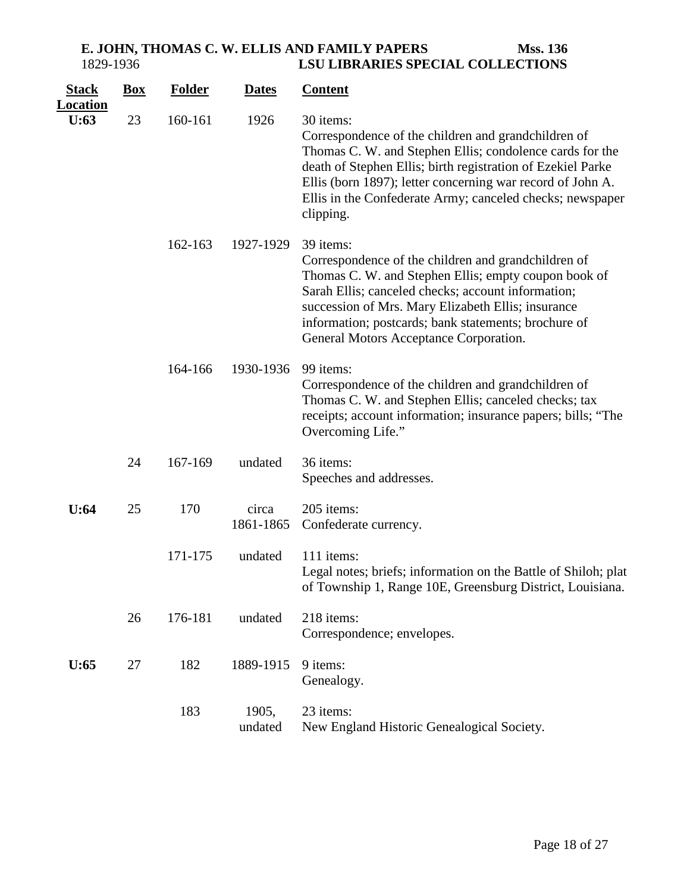| <b>Stack</b><br><u>Location</u> | $\mathbf{Box}$ | <b>Folder</b> | <b>Dates</b>       | <b>Content</b>                                                                                                                                                                                                                                                                                                                         |
|---------------------------------|----------------|---------------|--------------------|----------------------------------------------------------------------------------------------------------------------------------------------------------------------------------------------------------------------------------------------------------------------------------------------------------------------------------------|
| U:63                            | 23             | 160-161       | 1926               | 30 items:<br>Correspondence of the children and grandchildren of<br>Thomas C. W. and Stephen Ellis; condolence cards for the<br>death of Stephen Ellis; birth registration of Ezekiel Parke<br>Ellis (born 1897); letter concerning war record of John A.<br>Ellis in the Confederate Army; canceled checks; newspaper<br>clipping.    |
|                                 |                | 162-163       | 1927-1929          | 39 items:<br>Correspondence of the children and grandchildren of<br>Thomas C. W. and Stephen Ellis; empty coupon book of<br>Sarah Ellis; canceled checks; account information;<br>succession of Mrs. Mary Elizabeth Ellis; insurance<br>information; postcards; bank statements; brochure of<br>General Motors Acceptance Corporation. |
|                                 |                | 164-166       | 1930-1936          | 99 items:<br>Correspondence of the children and grandchildren of<br>Thomas C. W. and Stephen Ellis; canceled checks; tax<br>receipts; account information; insurance papers; bills; "The<br>Overcoming Life."                                                                                                                          |
|                                 | 24             | 167-169       | undated            | 36 items:<br>Speeches and addresses.                                                                                                                                                                                                                                                                                                   |
| U:64                            | 25             | 170           | circa<br>1861-1865 | 205 items:<br>Confederate currency.                                                                                                                                                                                                                                                                                                    |
|                                 |                | 171-175       | undated            | 111 items:<br>Legal notes; briefs; information on the Battle of Shiloh; plat<br>of Township 1, Range 10E, Greensburg District, Louisiana.                                                                                                                                                                                              |
|                                 | 26             | 176-181       | undated            | 218 items:<br>Correspondence; envelopes.                                                                                                                                                                                                                                                                                               |
| U:65                            | 27             | 182           | 1889-1915          | 9 items:<br>Genealogy.                                                                                                                                                                                                                                                                                                                 |
|                                 |                | 183           | 1905,<br>undated   | 23 items:<br>New England Historic Genealogical Society.                                                                                                                                                                                                                                                                                |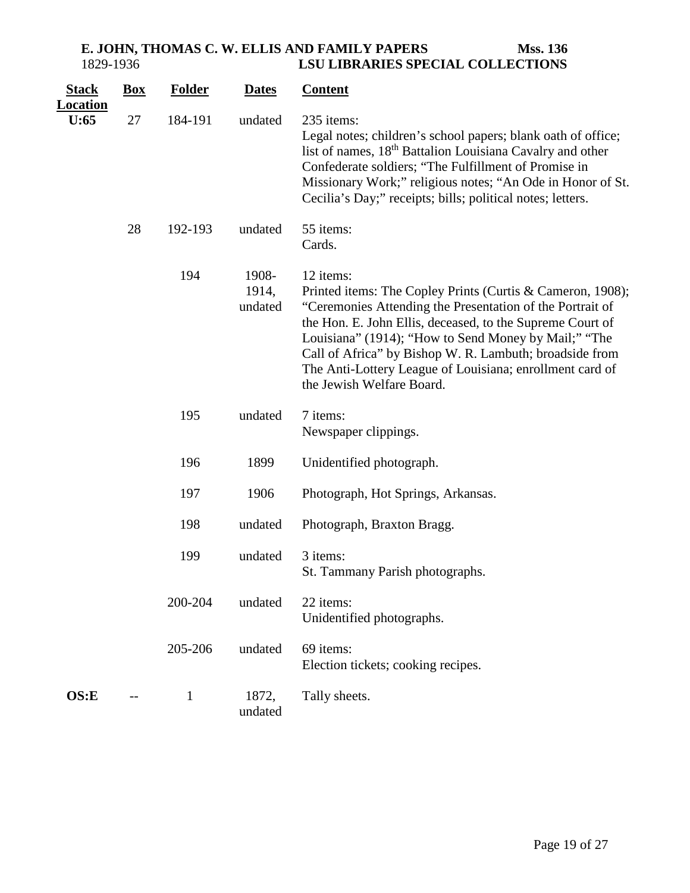| <b>Stack</b><br><b>Location</b> | <b>Box</b> | <b>Folder</b> | <b>Dates</b>              | <b>Content</b>                                                                                                                                                                                                                                                                                                                                                                                                |
|---------------------------------|------------|---------------|---------------------------|---------------------------------------------------------------------------------------------------------------------------------------------------------------------------------------------------------------------------------------------------------------------------------------------------------------------------------------------------------------------------------------------------------------|
| U:65                            | 27         | 184-191       | undated                   | 235 items:<br>Legal notes; children's school papers; blank oath of office;<br>list of names, 18 <sup>th</sup> Battalion Louisiana Cavalry and other<br>Confederate soldiers; "The Fulfillment of Promise in<br>Missionary Work;" religious notes; "An Ode in Honor of St.<br>Cecilia's Day;" receipts; bills; political notes; letters.                                                                       |
|                                 | 28         | 192-193       | undated                   | 55 items:<br>Cards.                                                                                                                                                                                                                                                                                                                                                                                           |
|                                 |            | 194           | 1908-<br>1914,<br>undated | 12 items:<br>Printed items: The Copley Prints (Curtis & Cameron, 1908);<br>"Ceremonies Attending the Presentation of the Portrait of<br>the Hon. E. John Ellis, deceased, to the Supreme Court of<br>Louisiana" (1914); "How to Send Money by Mail;" "The<br>Call of Africa" by Bishop W. R. Lambuth; broadside from<br>The Anti-Lottery League of Louisiana; enrollment card of<br>the Jewish Welfare Board. |
|                                 |            | 195           | undated                   | 7 items:<br>Newspaper clippings.                                                                                                                                                                                                                                                                                                                                                                              |
|                                 |            | 196           | 1899                      | Unidentified photograph.                                                                                                                                                                                                                                                                                                                                                                                      |
|                                 |            | 197           | 1906                      | Photograph, Hot Springs, Arkansas.                                                                                                                                                                                                                                                                                                                                                                            |
|                                 |            | 198           | undated                   | Photograph, Braxton Bragg.                                                                                                                                                                                                                                                                                                                                                                                    |
|                                 |            | 199           | undated                   | 3 items:<br>St. Tammany Parish photographs.                                                                                                                                                                                                                                                                                                                                                                   |
|                                 |            | 200-204       | undated                   | 22 items:<br>Unidentified photographs.                                                                                                                                                                                                                                                                                                                                                                        |
|                                 |            | 205-206       | undated                   | 69 items:<br>Election tickets; cooking recipes.                                                                                                                                                                                                                                                                                                                                                               |
| OS: E                           |            | $\mathbf{1}$  | 1872,<br>undated          | Tally sheets.                                                                                                                                                                                                                                                                                                                                                                                                 |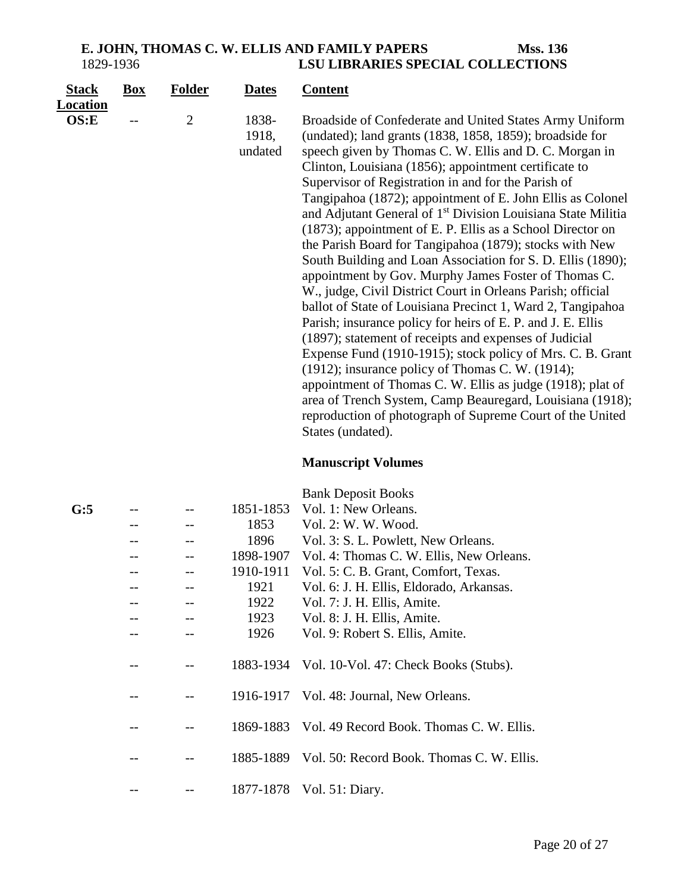#### **E. JOHN, THOMAS C. W. ELLIS AND FAMILY PAPERS Mss. 136**<br>1829-1936 **LSU LIBRARIES SPECIAL COLLECTIONS** 1829-1936 **LSU LIBRARIES SPECIAL COLLECTIONS**

| <b>Stack</b><br><b>Location</b> | $\underline{Box}$ | <b>Folder</b>  | <b>Dates</b>              | <b>Content</b>                                                                                                                                                                                                                                                                                                                                                                                                                                                                                                                                                                                                                                                                                                                                                                                                                                                                                                                                                                                                                                                                                                                                                                                                                                                                      |
|---------------------------------|-------------------|----------------|---------------------------|-------------------------------------------------------------------------------------------------------------------------------------------------------------------------------------------------------------------------------------------------------------------------------------------------------------------------------------------------------------------------------------------------------------------------------------------------------------------------------------------------------------------------------------------------------------------------------------------------------------------------------------------------------------------------------------------------------------------------------------------------------------------------------------------------------------------------------------------------------------------------------------------------------------------------------------------------------------------------------------------------------------------------------------------------------------------------------------------------------------------------------------------------------------------------------------------------------------------------------------------------------------------------------------|
| OS: E                           |                   | $\overline{2}$ | 1838-<br>1918,<br>undated | Broadside of Confederate and United States Army Uniform<br>(undated); land grants (1838, 1858, 1859); broadside for<br>speech given by Thomas C. W. Ellis and D. C. Morgan in<br>Clinton, Louisiana (1856); appointment certificate to<br>Supervisor of Registration in and for the Parish of<br>Tangipahoa (1872); appointment of E. John Ellis as Colonel<br>and Adjutant General of 1 <sup>st</sup> Division Louisiana State Militia<br>(1873); appointment of E. P. Ellis as a School Director on<br>the Parish Board for Tangipahoa (1879); stocks with New<br>South Building and Loan Association for S. D. Ellis (1890);<br>appointment by Gov. Murphy James Foster of Thomas C.<br>W., judge, Civil District Court in Orleans Parish; official<br>ballot of State of Louisiana Precinct 1, Ward 2, Tangipahoa<br>Parish; insurance policy for heirs of E. P. and J. E. Ellis<br>(1897); statement of receipts and expenses of Judicial<br>Expense Fund (1910-1915); stock policy of Mrs. C. B. Grant<br>$(1912)$ ; insurance policy of Thomas C. W. $(1914)$ ;<br>appointment of Thomas C. W. Ellis as judge (1918); plat of<br>area of Trench System, Camp Beauregard, Louisiana (1918);<br>reproduction of photograph of Supreme Court of the United<br>States (undated). |

# **Manuscript Volumes**

Bank Deposit Books

| G:5 |  | 1851-1853 | Vol. 1: New Orleans.                                |
|-----|--|-----------|-----------------------------------------------------|
|     |  | 1853      | Vol. 2: W. W. Wood.                                 |
|     |  | 1896      | Vol. 3: S. L. Powlett, New Orleans.                 |
|     |  | 1898-1907 | Vol. 4: Thomas C. W. Ellis, New Orleans.            |
|     |  | 1910-1911 | Vol. 5: C. B. Grant, Comfort, Texas.                |
|     |  | 1921      | Vol. 6: J. H. Ellis, Eldorado, Arkansas.            |
|     |  | 1922      | Vol. 7: J. H. Ellis, Amite.                         |
|     |  | 1923      | Vol. 8: J. H. Ellis, Amite.                         |
|     |  | 1926      | Vol. 9: Robert S. Ellis, Amite.                     |
|     |  |           | 1883-1934 Vol. 10-Vol. 47: Check Books (Stubs).     |
|     |  |           | 1916-1917 Vol. 48: Journal, New Orleans.            |
|     |  |           | 1869-1883 Vol. 49 Record Book. Thomas C. W. Ellis.  |
|     |  |           | 1885-1889 Vol. 50: Record Book. Thomas C. W. Ellis. |
|     |  |           | 1877-1878 Vol. 51: Diary.                           |
|     |  |           |                                                     |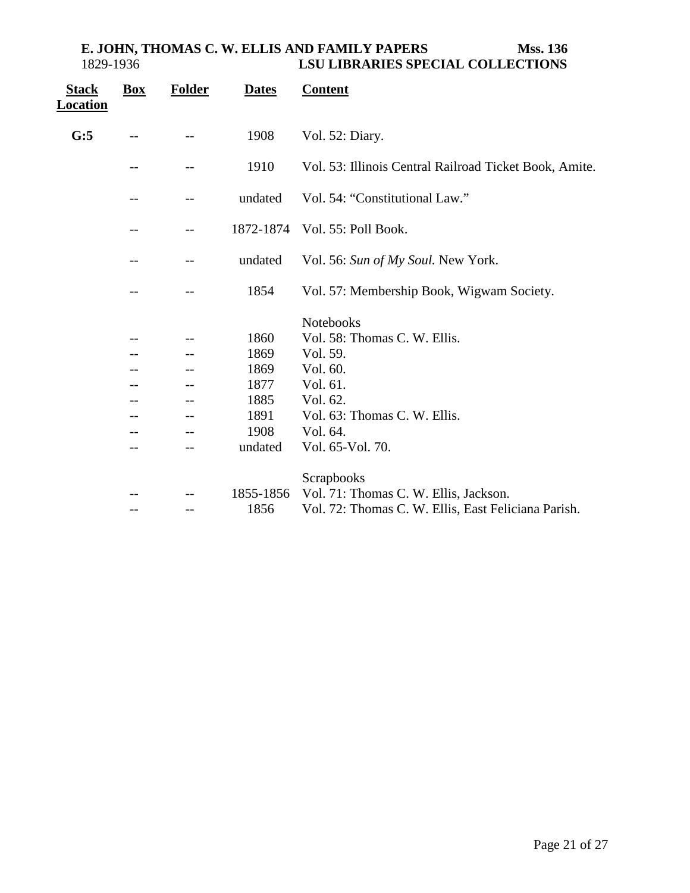| <b>Stack</b><br>Location | $\mathbf{Box}$ | <b>Folder</b> | <b>Dates</b> | <b>Content</b>                                         |
|--------------------------|----------------|---------------|--------------|--------------------------------------------------------|
| G:5                      |                |               | 1908         | Vol. 52: Diary.                                        |
|                          |                |               | 1910         | Vol. 53: Illinois Central Railroad Ticket Book, Amite. |
|                          |                | --            | undated      | Vol. 54: "Constitutional Law."                         |
|                          |                |               | 1872-1874    | Vol. 55: Poll Book.                                    |
|                          |                | --            | undated      | Vol. 56: Sun of My Soul. New York.                     |
|                          |                | --            | 1854         | Vol. 57: Membership Book, Wigwam Society.              |
|                          |                |               |              | <b>Notebooks</b>                                       |
|                          |                |               | 1860         | Vol. 58: Thomas C. W. Ellis.                           |
|                          |                |               | 1869         | Vol. 59.                                               |
|                          |                |               | 1869         | Vol. 60.                                               |
|                          |                |               | 1877         | Vol. 61.                                               |
|                          |                |               | 1885         | Vol. 62.                                               |
|                          |                |               | 1891         | Vol. 63: Thomas C. W. Ellis.                           |
|                          |                |               | 1908         | Vol. 64.                                               |
|                          |                | --            | undated      | Vol. 65-Vol. 70.                                       |
|                          |                |               |              |                                                        |
|                          |                |               | 1855-1856    | Scrapbooks<br>Vol. 71: Thomas C. W. Ellis, Jackson.    |
|                          |                |               | 1856         | Vol. 72: Thomas C. W. Ellis, East Feliciana Parish.    |
|                          |                | --            |              |                                                        |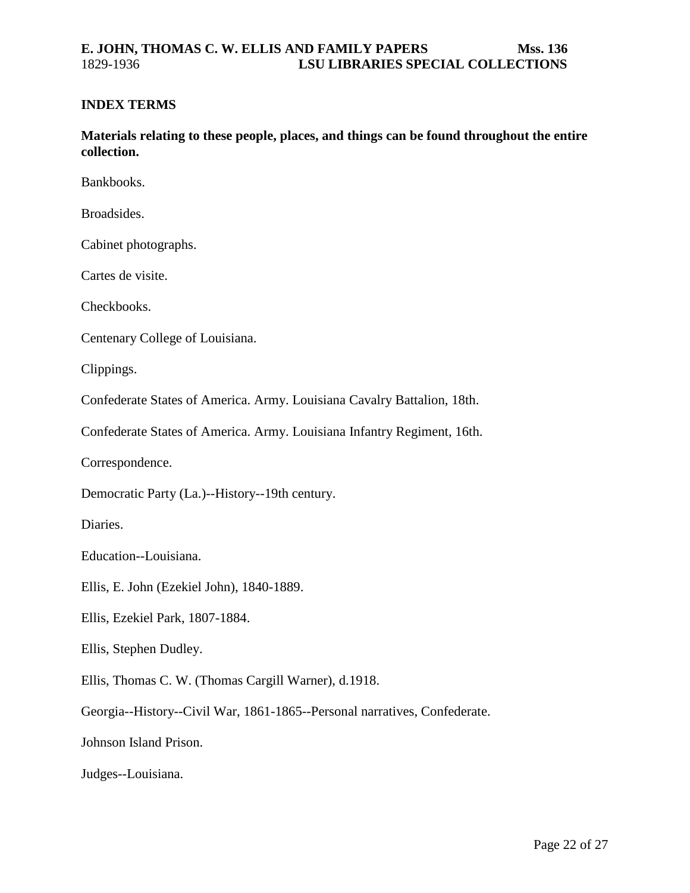#### <span id="page-21-0"></span>**INDEX TERMS**

**Materials relating to these people, places, and things can be found throughout the entire collection.**

Bankbooks.

Broadsides.

Cabinet photographs.

Cartes de visite.

Checkbooks.

Centenary College of Louisiana.

Clippings.

Confederate States of America. Army. Louisiana Cavalry Battalion, 18th.

Confederate States of America. Army. Louisiana Infantry Regiment, 16th.

Correspondence.

Democratic Party (La.)--History--19th century.

Diaries.

Education--Louisiana.

Ellis, E. John (Ezekiel John), 1840-1889.

Ellis, Ezekiel Park, 1807-1884.

Ellis, Stephen Dudley.

Ellis, Thomas C. W. (Thomas Cargill Warner), d.1918.

Georgia--History--Civil War, 1861-1865--Personal narratives, Confederate.

Johnson Island Prison.

Judges--Louisiana.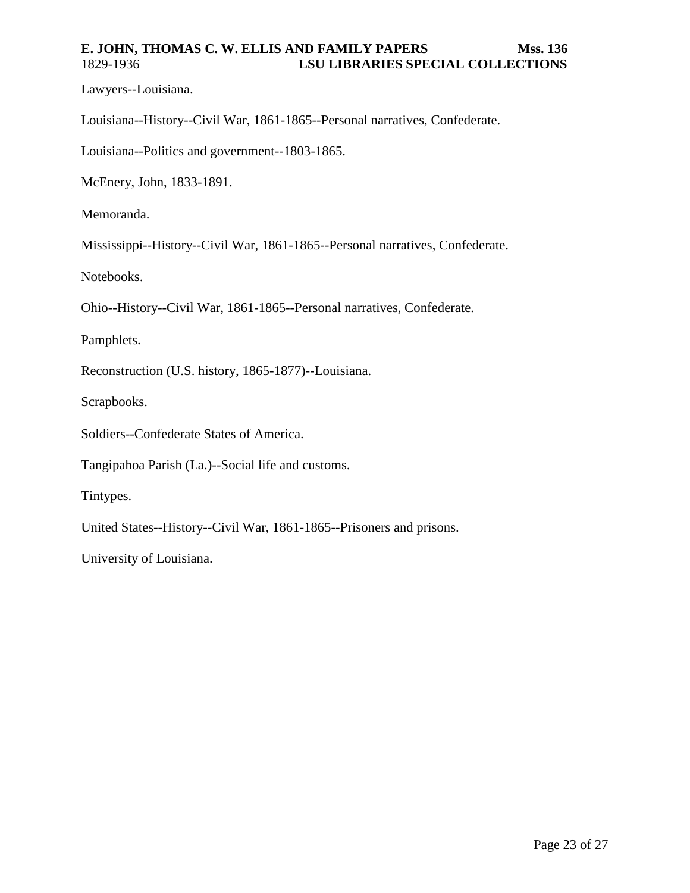Lawyers--Louisiana.

Louisiana--History--Civil War, 1861-1865--Personal narratives, Confederate.

Louisiana--Politics and government--1803-1865.

McEnery, John, 1833-1891.

Memoranda.

Mississippi--History--Civil War, 1861-1865--Personal narratives, Confederate.

Notebooks.

Ohio--History--Civil War, 1861-1865--Personal narratives, Confederate.

Pamphlets.

Reconstruction (U.S. history, 1865-1877)--Louisiana.

Scrapbooks.

Soldiers--Confederate States of America.

Tangipahoa Parish (La.)--Social life and customs.

Tintypes.

United States--History--Civil War, 1861-1865--Prisoners and prisons.

University of Louisiana.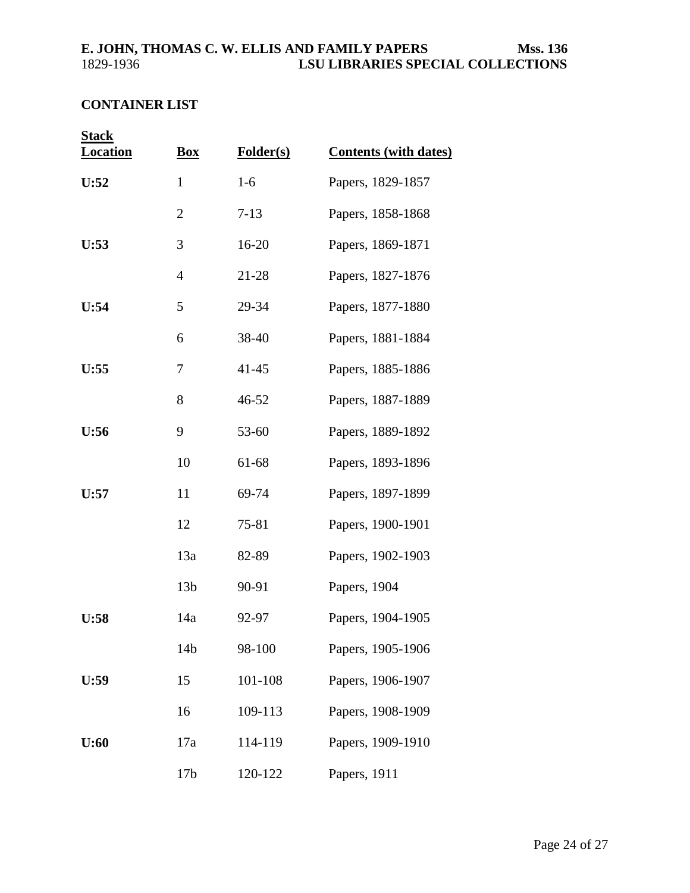## <span id="page-23-0"></span>**CONTAINER LIST**

| <b>Stack</b>    |                 |           |                              |
|-----------------|-----------------|-----------|------------------------------|
| <b>Location</b> | <b>Box</b>      | Folder(s) | <b>Contents (with dates)</b> |
| U:52            | $\mathbf{1}$    | $1-6$     | Papers, 1829-1857            |
|                 | $\overline{c}$  | $7-13$    | Papers, 1858-1868            |
| U:53            | 3               | 16-20     | Papers, 1869-1871            |
|                 | $\overline{4}$  | 21-28     | Papers, 1827-1876            |
| U:54            | 5               | 29-34     | Papers, 1877-1880            |
|                 | 6               | 38-40     | Papers, 1881-1884            |
| U:55            | 7               | $41 - 45$ | Papers, 1885-1886            |
|                 | 8               | 46-52     | Papers, 1887-1889            |
| U:56            | 9               | 53-60     | Papers, 1889-1892            |
|                 | 10              | 61-68     | Papers, 1893-1896            |
| U:57            | 11              | 69-74     | Papers, 1897-1899            |
|                 | 12              | 75-81     | Papers, 1900-1901            |
|                 | 13a             | 82-89     | Papers, 1902-1903            |
|                 | 13 <sub>b</sub> | 90-91     | Papers, 1904                 |
| U:58            | 14a             | 92-97     | Papers, 1904-1905            |
|                 | 14 <sub>b</sub> | 98-100    | Papers, 1905-1906            |
| U:59            | 15              | 101-108   | Papers, 1906-1907            |
|                 | 16              | 109-113   | Papers, 1908-1909            |
| U:60            | 17a             | 114-119   | Papers, 1909-1910            |
|                 | 17 <sub>b</sub> | 120-122   | Papers, 1911                 |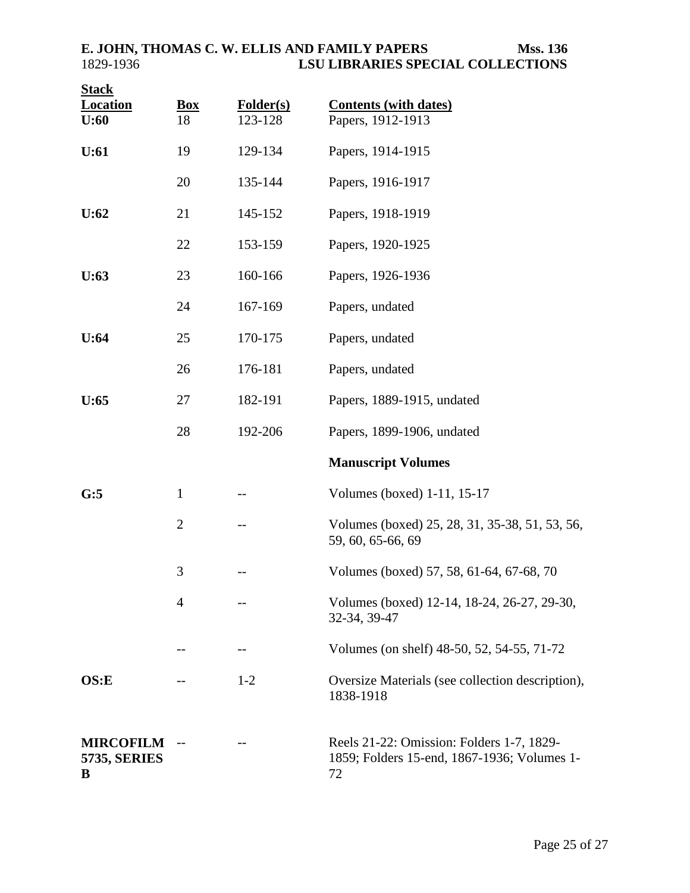| <b>Stack</b><br><b>Location</b><br>U:60      | <b>Box</b><br>18 | Folder(s)<br>123-128 | <b>Contents (with dates)</b><br>Papers, 1912-1913                                              |
|----------------------------------------------|------------------|----------------------|------------------------------------------------------------------------------------------------|
| U:61                                         | 19               | 129-134              | Papers, 1914-1915                                                                              |
|                                              | 20               | 135-144              | Papers, 1916-1917                                                                              |
| U:62                                         | 21               | 145-152              | Papers, 1918-1919                                                                              |
|                                              | 22               | 153-159              | Papers, 1920-1925                                                                              |
| U:63                                         | 23               | 160-166              | Papers, 1926-1936                                                                              |
|                                              | 24               | 167-169              | Papers, undated                                                                                |
| U:64                                         | 25               | 170-175              | Papers, undated                                                                                |
|                                              | 26               | 176-181              | Papers, undated                                                                                |
| U:65                                         | 27               | 182-191              | Papers, 1889-1915, undated                                                                     |
|                                              | 28               | 192-206              | Papers, 1899-1906, undated                                                                     |
|                                              |                  |                      | <b>Manuscript Volumes</b>                                                                      |
| G:5                                          | $\mathbf{1}$     |                      | Volumes (boxed) 1-11, 15-17                                                                    |
|                                              | $\overline{2}$   |                      | Volumes (boxed) 25, 28, 31, 35-38, 51, 53, 56,<br>59, 60, 65-66, 69                            |
|                                              | 3                |                      | Volumes (boxed) 57, 58, 61-64, 67-68, 70                                                       |
|                                              | $\overline{4}$   |                      | Volumes (boxed) 12-14, 18-24, 26-27, 29-30,<br>32-34, 39-47                                    |
|                                              | --               | $-$ -                | Volumes (on shelf) 48-50, 52, 54-55, 71-72                                                     |
| OS: E                                        |                  | $1 - 2$              | Oversize Materials (see collection description),<br>1838-1918                                  |
| <b>MIRCOFILM</b><br><b>5735, SERIES</b><br>B | $-$              |                      | Reels 21-22: Omission: Folders 1-7, 1829-<br>1859; Folders 15-end, 1867-1936; Volumes 1-<br>72 |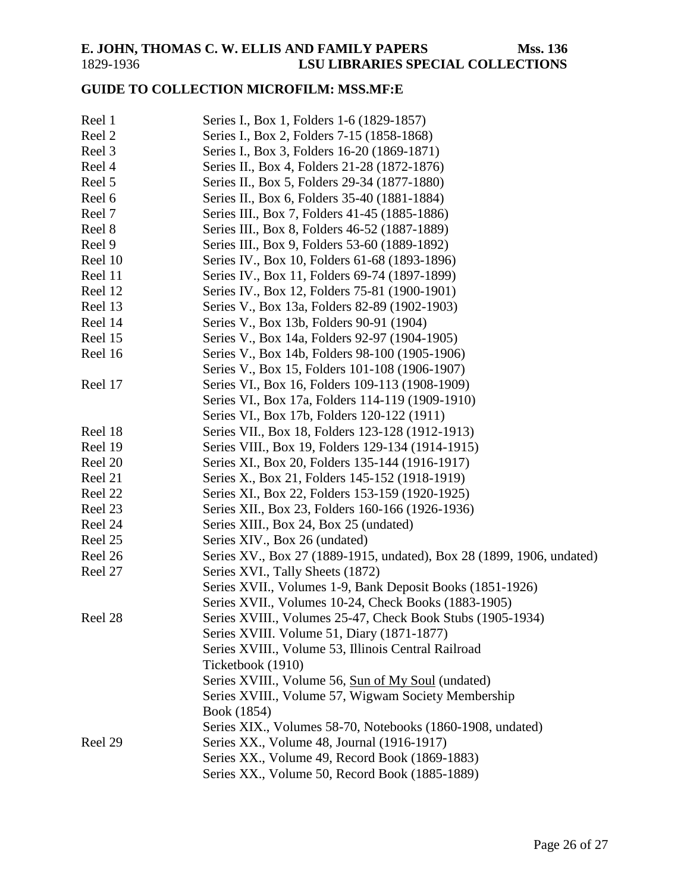## <span id="page-25-0"></span>**GUIDE TO COLLECTION MICROFILM: MSS.MF:E**

| Reel 1  | Series I., Box 1, Folders 1-6 (1829-1857)                             |
|---------|-----------------------------------------------------------------------|
| Reel 2  | Series I., Box 2, Folders 7-15 (1858-1868)                            |
| Reel 3  | Series I., Box 3, Folders 16-20 (1869-1871)                           |
| Reel 4  | Series II., Box 4, Folders 21-28 (1872-1876)                          |
| Reel 5  | Series II., Box 5, Folders 29-34 (1877-1880)                          |
| Reel 6  | Series II., Box 6, Folders 35-40 (1881-1884)                          |
| Reel 7  | Series III., Box 7, Folders 41-45 (1885-1886)                         |
| Reel 8  | Series III., Box 8, Folders 46-52 (1887-1889)                         |
| Reel 9  | Series III., Box 9, Folders 53-60 (1889-1892)                         |
| Reel 10 | Series IV., Box 10, Folders 61-68 (1893-1896)                         |
| Reel 11 | Series IV., Box 11, Folders 69-74 (1897-1899)                         |
| Reel 12 | Series IV., Box 12, Folders 75-81 (1900-1901)                         |
| Reel 13 | Series V., Box 13a, Folders 82-89 (1902-1903)                         |
| Reel 14 | Series V., Box 13b, Folders 90-91 (1904)                              |
| Reel 15 | Series V., Box 14a, Folders 92-97 (1904-1905)                         |
| Reel 16 | Series V., Box 14b, Folders 98-100 (1905-1906)                        |
|         | Series V., Box 15, Folders 101-108 (1906-1907)                        |
| Reel 17 | Series VI., Box 16, Folders 109-113 (1908-1909)                       |
|         | Series VI., Box 17a, Folders 114-119 (1909-1910)                      |
|         | Series VI., Box 17b, Folders 120-122 (1911)                           |
| Reel 18 | Series VII., Box 18, Folders 123-128 (1912-1913)                      |
| Reel 19 | Series VIII., Box 19, Folders 129-134 (1914-1915)                     |
| Reel 20 | Series XI., Box 20, Folders 135-144 (1916-1917)                       |
| Reel 21 | Series X., Box 21, Folders 145-152 (1918-1919)                        |
| Reel 22 | Series XI., Box 22, Folders 153-159 (1920-1925)                       |
| Reel 23 | Series XII., Box 23, Folders 160-166 (1926-1936)                      |
| Reel 24 | Series XIII., Box 24, Box 25 (undated)                                |
| Reel 25 | Series XIV., Box 26 (undated)                                         |
| Reel 26 | Series XV., Box 27 (1889-1915, undated), Box 28 (1899, 1906, undated) |
| Reel 27 | Series XVI., Tally Sheets (1872)                                      |
|         | Series XVII., Volumes 1-9, Bank Deposit Books (1851-1926)             |
|         | Series XVII., Volumes 10-24, Check Books (1883-1905)                  |
| Reel 28 | Series XVIII., Volumes 25-47, Check Book Stubs (1905-1934)            |
|         | Series XVIII. Volume 51, Diary (1871-1877)                            |
|         | Series XVIII., Volume 53, Illinois Central Railroad                   |
|         | Ticketbook (1910)                                                     |
|         | Series XVIII., Volume 56, Sun of My Soul (undated)                    |
|         | Series XVIII., Volume 57, Wigwam Society Membership                   |
|         | Book (1854)                                                           |
|         | Series XIX., Volumes 58-70, Notebooks (1860-1908, undated)            |
| Reel 29 | Series XX., Volume 48, Journal (1916-1917)                            |
|         | Series XX., Volume 49, Record Book (1869-1883)                        |
|         | Series XX., Volume 50, Record Book (1885-1889)                        |